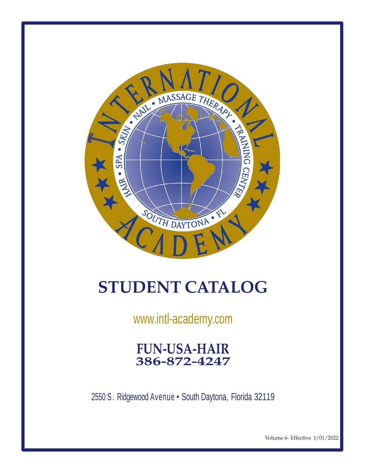

# **STUDENT CATALOG**

[www.intl-academy.com](http://www.intl-academy.com/)

**FUN-USA-HAIR 386-872-4247**

2550 S. Ridgewood Avenue · South Daytona, Florida 32119

Volume 6- Effective 1/01/2022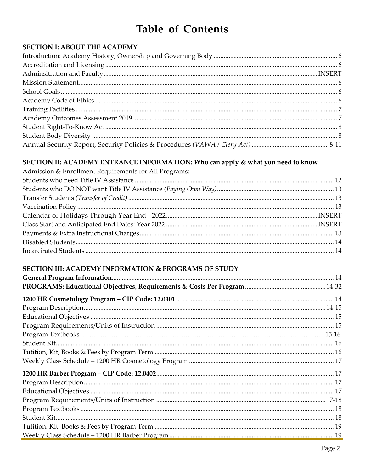# **Table of Contents**

#### **SECTION I: ABOUT THE ACADEMY**

#### SECTION II: ACADEMY ENTRANCE INFORMATION: Who can apply & what you need to know

| Admission & Enrollment Requirements for All Programs: |  |
|-------------------------------------------------------|--|
|                                                       |  |
|                                                       |  |
|                                                       |  |
|                                                       |  |
|                                                       |  |
|                                                       |  |
|                                                       |  |
|                                                       |  |
|                                                       |  |
|                                                       |  |

#### SECTION III: ACADEMY INFORMATION & PROGRAMS OF STUDY

| $\begin{minipage}{.4\linewidth} \textbf{Program Textbooks} \end{minipage} \begin{minipage}{.4\linewidth} \textbf{Program Textbooks} \end{minipage} \begin{minipage}{.4\linewidth} \textbf{Program Textbooks} \end{minipage} \begin{minipage}{.4\linewidth} \textbf{Program Textbooks} \end{minipage} \begin{minipage}{.4\linewidth} \textbf{Program Textbooks} \end{minipage} \begin{minipage}{.4\linewidth} \textbf{Program Textbooks} \end{minipage} \begin{minipage}{.4\linewidth} \textbf{Program Testbooks} \end{minipage} \begin{minipage}{.4\linewidth} \textbf{Program Testbooks} \end{minipage} \begin{min$ |  |
|----------------------------------------------------------------------------------------------------------------------------------------------------------------------------------------------------------------------------------------------------------------------------------------------------------------------------------------------------------------------------------------------------------------------------------------------------------------------------------------------------------------------------------------------------------------------------------------------------------------------|--|
|                                                                                                                                                                                                                                                                                                                                                                                                                                                                                                                                                                                                                      |  |
|                                                                                                                                                                                                                                                                                                                                                                                                                                                                                                                                                                                                                      |  |
|                                                                                                                                                                                                                                                                                                                                                                                                                                                                                                                                                                                                                      |  |
|                                                                                                                                                                                                                                                                                                                                                                                                                                                                                                                                                                                                                      |  |
|                                                                                                                                                                                                                                                                                                                                                                                                                                                                                                                                                                                                                      |  |
|                                                                                                                                                                                                                                                                                                                                                                                                                                                                                                                                                                                                                      |  |
|                                                                                                                                                                                                                                                                                                                                                                                                                                                                                                                                                                                                                      |  |
|                                                                                                                                                                                                                                                                                                                                                                                                                                                                                                                                                                                                                      |  |
|                                                                                                                                                                                                                                                                                                                                                                                                                                                                                                                                                                                                                      |  |
|                                                                                                                                                                                                                                                                                                                                                                                                                                                                                                                                                                                                                      |  |
|                                                                                                                                                                                                                                                                                                                                                                                                                                                                                                                                                                                                                      |  |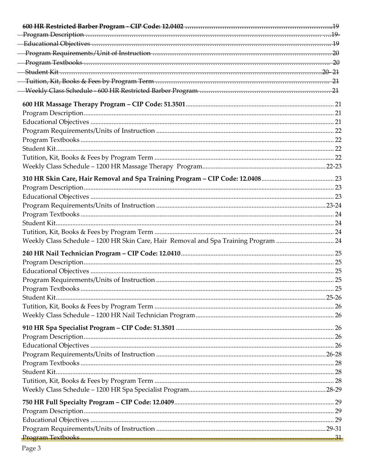| Weekly Class Schedule - 1200 HR Skin Care, Hair Removal and Spa Training Program  24 |  |
|--------------------------------------------------------------------------------------|--|
|                                                                                      |  |
|                                                                                      |  |
|                                                                                      |  |
|                                                                                      |  |
|                                                                                      |  |
|                                                                                      |  |
|                                                                                      |  |
|                                                                                      |  |
|                                                                                      |  |
|                                                                                      |  |
|                                                                                      |  |
|                                                                                      |  |
|                                                                                      |  |
|                                                                                      |  |
|                                                                                      |  |
|                                                                                      |  |
|                                                                                      |  |
|                                                                                      |  |
|                                                                                      |  |
|                                                                                      |  |
|                                                                                      |  |
|                                                                                      |  |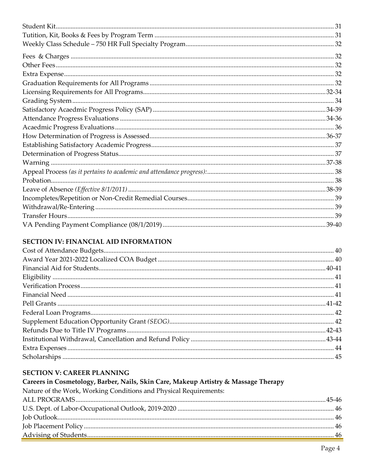#### **SECTION IV: FINANCIAL AID INFORMATION**

#### **SECTION V: CAREER PLANNING**

#### Careers in Cosmetology, Barber, Nails, Skin Care, Makeup Artistry & Massage Therapy

Nature of the Work, Working Conditions and Physical Requirements: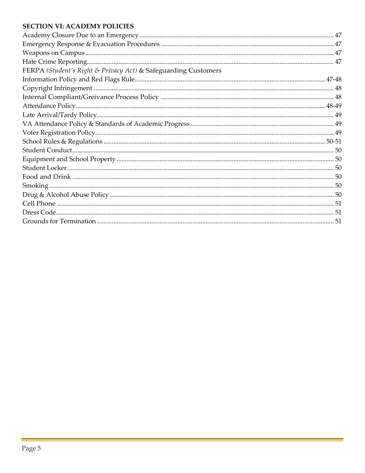#### **SECTION VI: ACADEMY POLICIES**

| FERPA (Student's Right & Privacy Act) & Safeguarding Customers |  |
|----------------------------------------------------------------|--|
|                                                                |  |
|                                                                |  |
|                                                                |  |
|                                                                |  |
|                                                                |  |
|                                                                |  |
|                                                                |  |
|                                                                |  |
|                                                                |  |
|                                                                |  |
|                                                                |  |
|                                                                |  |
|                                                                |  |
|                                                                |  |
|                                                                |  |
|                                                                |  |
|                                                                |  |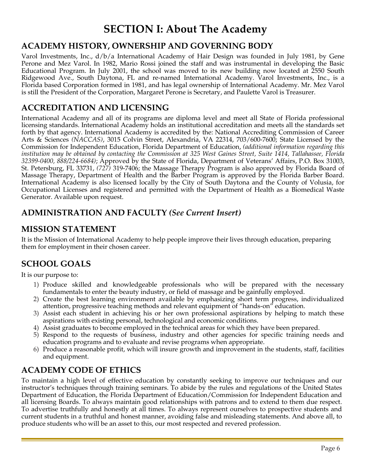# **SECTION I: About The Academy**

## **ACADEMY HISTORY, OWNERSHIP AND GOVERNING BODY**

Varol Investments, Inc., d/b/a International Academy of Hair Design was founded in July 1981, by Gene Perone and Mez Varol. In 1982, Mario Rossi joined the staff and was instrumental in developing the Basic Educational Program. In July 2001, the school was moved to its new building now located at 2550 South Ridgewood Ave., South Daytona, FL and re-named International Academy. Varol Investments, Inc., is a Florida based Corporation formed in 1981, and has legal ownership of International Academy. Mr. Mez Varol is still the President of the Corporation, Margaret Perone is Secretary, and Paulette Varol is Treasurer.

## **ACCREDITATION AND LICENSING**

International Academy and all of its programs are diploma level and meet all State of Florida professional licensing standards. International Academy holds an institutional accreditation and meets all the standards set forth by that agency. International Academy is accredited by the: National Accrediting Commission of Career Arts & Sciences *(NACCAS)*, 3015 Colvin Street, Alexandria, VA 22314, 703/600-7600; State Licensed by the Commission for Independent Education, Florida Department of Education, *(additional information regarding this institution may be obtained by contacting the Commission at 325 West Gaines Street, Suite 1414, Tallahassee, Florida 32399-0400, 888/224-6684)*; Approved by the State of Florida, Department of Veterans' Affairs, P.O. Box 31003, St. Petersburg, FL 33731, *(727)* 319-7406; the Massage Therapy Program is also approved by Florida Board of Massage Therapy, Department of Health and the Barber Program is approved by the Florida Barber Board. International Academy is also licensed locally by the City of South Daytona and the County of Volusia, for Occupational Licenses and registered and permitted with the Department of Health as a Biomedical Waste Generator. Available upon request.

## **ADMINISTRATION AND FACULTY** *(See Current Insert)*

#### **MISSION STATEMENT**

It is the Mission of International Academy to help people improve their lives through education, preparing them for employment in their chosen career.

## **SCHOOL GOALS**

It is our purpose to:

- 1) Produce skilled and knowledgeable professionals who will be prepared with the necessary fundamentals to enter the beauty industry, or field of massage and be gainfully employed.
- 2) Create the best learning environment available by emphasizing short term progress, individualized attention, progressive teaching methods and relevant equipment of "hands-on" education.
- 3) Assist each student in achieving his or her own professional aspirations by helping to match these aspirations with existing personal, technological and economic conditions.
- 4) Assist graduates to become employed in the technical areas for which they have been prepared.
- 5) Respond to the requests of business, industry and other agencies for specific training needs and education programs and to evaluate and revise programs when appropriate.
- 6) Produce a reasonable profit, which will insure growth and improvement in the students, staff, facilities and equipment.

## **ACADEMY CODE OF ETHICS**

To maintain a high level of effective education by constantly seeking to improve our techniques and our instructor's techniques through training seminars. To abide by the rules and regulations of the United States Department of Education, the Florida Department of Education/Commission for Independent Education and all licensing Boards. To always maintain good relationships with patrons and to extend to them due respect. To advertise truthfully and honestly at all times. To always represent ourselves to prospective students and current students in a truthful and honest manner, avoiding false and misleading statements. And above all, to produce students who will be an asset to this, our most respected and revered profession.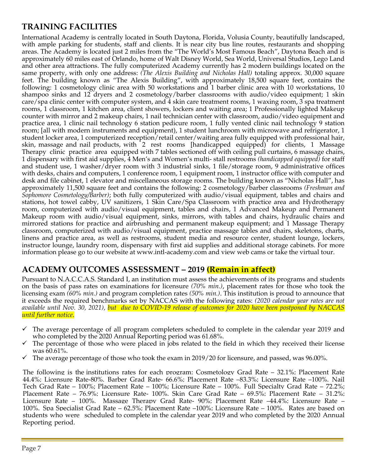## **TRAINING FACILITIES**

International Academy is centrally located in South Daytona, Florida, Volusia County, beautifully landscaped, with ample parking for students, staff and clients. It is near city bus line routes, restaurants and shopping areas. The Academy is located just 2 miles from the "The World's Most Famous Beach", Daytona Beach and is approximately 60 miles east of Orlando, home of Walt Disney World, Sea World, Universal Studios, Lego Land and other area attractions. The fully computerized Academy currently has 2 modern buildings located on the same property, with only one address: *(The Alexis Building and Nicholas Hall)* totaling approx. 30,000 square feet. The building known as "The Alexis Building", with approximately 18,500 square feet, contains the following: 1 cosmetology clinic area with 50 workstations and 1 barber clinic area with 10 workstations, 10 shampoo sinks and 12 dryers and 2 cosmetology/barber classrooms with audio/video equipment; 1 skin care/spa clinic center with computer system, and 4 skin care treatment rooms, 1 waxing room, 3 spa treatment rooms, 1 classroom, 1 kitchen area, client showers, lockers and waiting area; 1 Professionally lighted Makeup counter with mirror and 2 makeup chairs, 1 nail technician center with classroom, audio/video equipment and practice area, 1 clinic nail technology 6 station pedicure room, 1 fully vented clinic nail technology 9 station room; [all with modern instruments and equipment), 1 student lunchroom with microwave and refrigerator, 1 student locker area, 1 computerized reception/retail center/waiting area fully equipped with professional hair, skin, massage and nail products, with 2 rest rooms [handicapped equipped] for clients, 1 Massage Therapy clinic practice area equipped with 7 tables sectioned off with ceiling pull curtains, 6 massage chairs, 1 dispensary with first aid supplies, 4 Men's and Women's multi- stall restrooms *(handicapped equipped)* for staff and student use, 1 washer/dryer room with 3 industrial sinks, 1 file/storage room, 9 administrative offices with desks, chairs and computers, 1 conference room, 1 equipment room, 1 instructor office with computer and desk and file cabinet, 1 elevator and miscellaneous storage rooms. The building known as "Nicholas Hall", has approximately 11,500 square feet and contains the following: 2 cosmetology/barber classrooms *(Freshman and Sophomore Cosmetology/Barber)*; both fully computerized with audio/visual equipment, tables and chairs and stations, hot towel cabby, UV sanitizers, 1 Skin Care/Spa Classroom with practice area and Hydrotherapy room, computerized with audio/visual equipment, tables and chairs, 1 Advanced Makeup and Permanent Makeup room with audio/visual equipment, sinks, mirrors, with tables and chairs, hydraulic chairs and mirrored stations for practice and airbrushing and permanent makeup equipment; and 1 Massage Therapy classroom, computerized with audio/visual equipment, practice massage tables and chairs, skeletons, charts, linens and practice area, as well as restrooms, student media and resource center, student lounge, lockers, instructor lounge, laundry room, dispensary with first aid supplies and additional storage cabinets. For more information please go to our website at www.intl-academy.com and view web cams or take the virtual tour.

## **ACADEMY OUTCOMES ASSESSMENT – 2019 (Remain in affect)**

Pursuant to N.A.C.C.A.S. Standard I, an institution must assess the achievements of its programs and students on the basis of pass rates on examinations for licensure *(70% min.)*, placement rates for those who took the licensing exam *(60% min.)* and program completion rates *(50% min.)*. This institution is proud to announce that it exceeds the required benchmarks set by NACCAS with the following rates: *(2020 calendar year rates are not available until Nov. 30, 2021), but due to COVID-19 release of outcomes for 2020 have been postponed by NACCAS until further notice*.

- $\checkmark$  The average percentage of all program completers scheduled to complete in the calendar year 2019 and who completed by the 2020 Annual Reporting period was 61.68%.
- The percentage of those who were placed in jobs related to the field in which they received their license was 60.61%.
- The average percentage of those who took the exam in 2019/20 for licensure, and passed, was 96.00%.

The following is the institutions rates for each program: Cosmetology Grad Rate – 32.1%; Placement Rate 44.4%; Licensure Rate-80%. Barber Grad Rate- 66.6%; Placement Rate –83.3%; Licensure Rate –100%. Nail Tech Grad Rate – 100%; Placement Rate – 100%; Licensure Rate – 100%. Full Specialty Grad Rate – 72.2%; Placement Rate – 76.9%; Licensure Rate- 100%. Skin Care Grad Rate – 69.5%; Placement Rate – 31.2%; Licensure Rate – 100%. Massage Therapy Grad Rate- 90%; Placement Rate –44.4%; Licensure Rate – 100%. Spa Specialist Grad Rate – 62.5%; Placement Rate –100%; Licensure Rate – 100%. Rates are based on students who were scheduled to complete in the calendar year 2019 and who completed by the 2020 Annual Reporting period.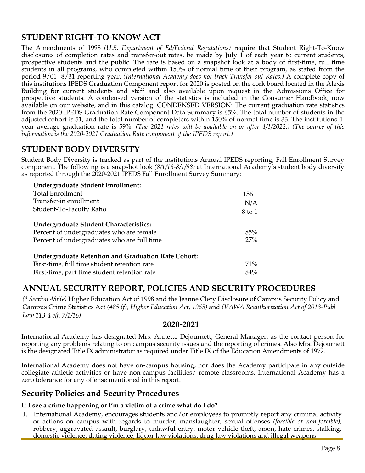## **STUDENT RIGHT-TO-KNOW ACT**

The Amendments of 1998 *(U.S. Department of Ed/Federal Regulations)* require that Student Right-To-Know disclosures of completion rates and transfer-out rates, be made by July 1 of each year to current students, prospective students and the public. The rate is based on a snapshot look at a body of first-time, full time students in all programs, who completed within 150% of normal time of their program, as stated from the period 9/01- 8/31 reporting year. *(International Academy does not track Transfer-out Rates.)* A complete copy of this institutions IPEDS Graduation Component report for 2020 is posted on the cork board located in the Alexis Building for current students and staff and also available upon request in the Admissions Office for prospective students. A condensed version of the statistics is included in the Consumer Handbook, now available on our website, and in this catalog. CONDENSED VERSION: The current graduation rate statistics from the 2020 IPEDS Graduation Rate Component Data Summary is 65%. The total number of students in the adjusted cohort is 51, and the total number of completers within 150% of normal time is 33. The institutions 4 year average graduation rate is 59%. *(The 2021 rates will be available on or after 4/1/2022.) (The source of this information is the 2020-2021 Graduation Rate component of the IPEDS report.)*

#### **STUDENT BODY DIVERSITY**

Student Body Diversity is tracked as part of the institutions Annual IPEDS reporting, Fall Enrollment Survey component. The following is a snapshot look *(8/1/18-8/1/98)* at International Academy's student body diversity as reported through the 2020-2021 IPEDS Fall Enrollment Survey Summary:

| Undergraduate Student Enrollment:                          |        |
|------------------------------------------------------------|--------|
| <b>Total Enrollment</b>                                    | 156    |
| Transfer-in enrollment                                     | N/A    |
| Student-To-Faculty Ratio                                   | 8 to 1 |
| Undergraduate Student Characteristics:                     |        |
| Percent of undergraduates who are female                   | 85%    |
| Percent of undergraduates who are full time                | 27%    |
| <b>Undergraduate Retention and Graduation Rate Cohort:</b> |        |
| First-time, full time student retention rate               | $71\%$ |
| First-time, part time student retention rate               | $84\%$ |

## **ANNUAL SECURITY REPORT, POLICIES AND SECURITY PROCEDURES**

*(\* Section 486(e)* Higher Education Act of 1998 and the Jeanne Clery Disclosure of Campus Security Policy and Campus Crime Statistics Act *(485 (f), Higher Education Act, 1965)* and *(VAWA Reauthorization Act of 2013-Publ Law 113-4 eff. 7/1/16)*

#### **2020-2021**

International Academy has designated Mrs. Annette Dejournett, General Manager, as the contact person for reporting any problems relating to on campus security issues and the reporting of crimes. Also Mrs. Dejournett is the designated Title IX administrator as required under Title IX of the Education Amendments of 1972.

International Academy does not have on-campus housing, nor does the Academy participate in any outside collegiate athletic activities or have non-campus facilities/ remote classrooms. International Academy has a zero tolerance for any offense mentioned in this report.

## **Security Policies and Security Procedures**

#### **If I see a crime happening or I'm a victim of a crime what do I do?**

1. International Academy, encourages students and/or employees to promptly report any criminal activity or actions on campus with regards to murder, manslaughter, sexual offenses *(forcible or non-forcible)*, robbery, aggravated assault, burglary, unlawful entry, motor vehicle theft, arson, hate crimes, stalking, domestic violence, dating violence, liquor law violations, drug law violations and illegal weapons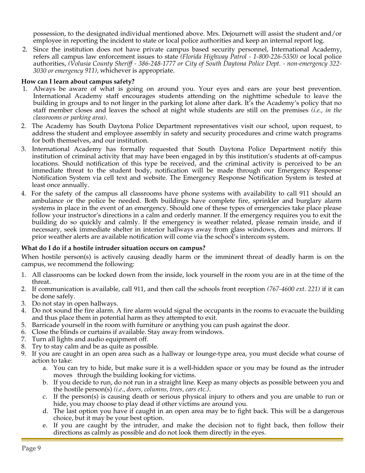possession, to the designated individual mentioned above. Mrs. Dejournett will assist the student and/or employee in reporting the incident to state or local police authorities and keep an internal report log.

2. Since the institution does not have private campus based security personnel, International Academy, refers all campus law enforcement issues to state *(Florida Highway Patrol - 1-800-226-5350)* or local police authorities, *(Volusia County Sheriff - 386-248-1777 or City of South Daytona Police Dept. - non-emergency 322- 3030 or emergency 911)*, whichever is appropriate.

#### **How can I learn about campus safety?**

- 1. Always be aware of what is going on around you. Your eyes and ears are your best prevention. International Academy staff encourages students attending on the nighttime schedule to leave the building in groups and to not linger in the parking lot alone after dark. It's the Academy's policy that no staff member closes and leaves the school at night while students are still on the premises *(i.e., in the classrooms or parking area)*.
- 2. The Academy has South Daytona Police Department representatives visit our school, upon request, to address the student and employee assembly in safety and security procedures and crime watch programs for both themselves, and our institution.
- 3. International Academy has formally requested that South Daytona Police Department notify this institution of criminal activity that may have been engaged in by this institution's students at off-campus locations. Should notification of this type be received, and the criminal activity is perceived to be an immediate threat to the student body, notification will be made through our Emergency Response Notification System via cell text and website. The Emergency Response Notification System is tested at least once annually.
- 4. For the safety of the campus all classrooms have phone systems with availability to call 911 should an ambulance or the police be needed. Both buildings have complete fire, sprinkler and burglary alarm systems in place in the event of an emergency. Should one of these types of emergencies take place please follow your instructor's directions in a calm and orderly manner. If the emergency requires you to exit the building do so quickly and calmly. If the emergency is weather related, please remain inside, and if necessary, seek immediate shelter in interior hallways away from glass windows, doors and mirrors. If prior weather alerts are available notification will come via the school's intercom system.

#### **What do I do if a hostile intruder situation occurs on campus?**

When hostile person(s) is actively causing deadly harm or the imminent threat of deadly harm is on the campus, we recommend the following:

- 1. All classrooms can be locked down from the inside, lock yourself in the room you are in at the time of the threat.
- 2. If communication is available, call 911, and then call the schools front reception *(767-4600 ext. 221)* if it can be done safely.
- 3. Do not stay in open hallways.
- 4. Do not sound the fire alarm. A fire alarm would signal the occupants in the rooms to evacuate the building and thus place them in potential harm as they attempted to exit.
- 5. Barricade yourself in the room with furniture or anything you can push against the door.
- 6. Close the blinds or curtains if available. Stay away from windows.
- 7. Turn all lights and audio equipment off.
- 8. Try to stay calm and be as quite as possible.
- 9. If you are caught in an open area such as a hallway or lounge-type area, you must decide what course of action to take:
	- a. You can try to hide, but make sure it is a well-hidden space or you may be found as the intruder moves through the building looking for victims.
	- b. If you decide to run, do not run in a straight line. Keep as many objects as possible between you and the hostile person(s) *(i.e., doors, columns, trees, cars etc.)*.
	- c. If the person(s) is causing death or serious physical injury to others and you are unable to run or hide, you may choose to play dead if other victims are around you.
	- d. The last option you have if caught in an open area may be to fight back. This will be a dangerous choice, but it may be your best option.
	- e. If you are caught by the intruder, and make the decision not to fight back, then follow their directions as calmly as possible and do not look them directly in the eyes.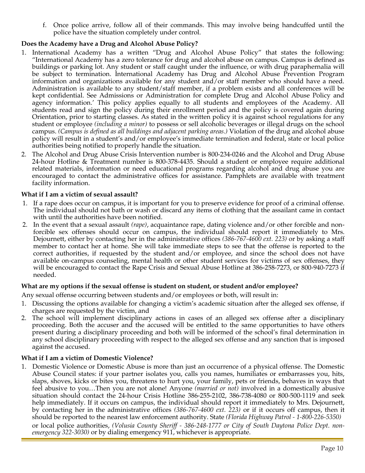f. Once police arrive, follow all of their commands. This may involve being handcuffed until the police have the situation completely under control.

#### **Does the Academy have a Drug and Alcohol Abuse Policy?**

- 1. International Academy has a written "Drug and Alcohol Abuse Policy" that states the following: "International Academy has a zero tolerance for drug and alcohol abuse on campus. Campus is defined as buildings or parking lot. Any student or staff caught under the influence, or with drug paraphernalia will be subject to termination. International Academy has Drug and Alcohol Abuse Prevention Program information and organizations available for any student and/or staff member who should have a need. Administration is available to any student/staff member, if a problem exists and all conferences will be kept confidential. See Admissions or Administration for complete Drug and Alcohol Abuse Policy and agency information.' This policy applies equally to all students and employees of the Academy. All students read and sign the policy during their enrollment period and the policy is covered again during Orientation, prior to starting classes. As stated in the written policy it is against school regulations for any student or employee *(including a minor)* to possess or sell alcoholic beverages or illegal drugs on the school campus. *(Campus is defined as all buildings and adjacent parking areas.)* Violation of the drug and alcohol abuse policy will result in a student's and/or employee's immediate termination and federal, state or local police authorities being notified to properly handle the situation.
- 2. The Alcohol and Drug Abuse Crisis Intervention number is 800-234-0246 and the Alcohol and Drug Abuse 24-hour Hotline & Treatment number is 800-378-4435. Should a student or employee require additional related materials, information or need educational programs regarding alcohol and drug abuse you are encouraged to contact the administrative offices for assistance. Pamphlets are available with treatment facility information.

#### **What if I am a victim of sexual assault?**

- 1. If a rape does occur on campus, it is important for you to preserve evidence for proof of a criminal offense. The individual should not bath or wash or discard any items of clothing that the assailant came in contact with until the authorities have been notified.
- 2. In the event that a sexual assault *(rape)*, acquaintance rape, dating violence and/or other forcible and nonforcible sex offenses should occur on campus, the individual should report it immediately to Mrs. Dejournett, either by contacting her in the administrative offices *(386-767-4600 ext. 223)* or by asking a staff member to contact her at home. She will take immediate steps to see that the offense is reported to the correct authorities, if requested by the student and/or employee, and since the school does not have available on-campus counseling, mental health or other student services for victims of sex offenses, they will be encouraged to contact the Rape Crisis and Sexual Abuse Hotline at 386-258-7273, or 800-940-7273 if needed.

#### **What are my options if the sexual offense is student on student, or student and/or employee?**

Any sexual offense occurring between students and/or employees or both, will result in:

- 1. Discussing the options available for changing a victim's academic situation after the alleged sex offense, if charges are requested by the victim, and
- 2. The school will implement disciplinary actions in cases of an alleged sex offense after a disciplinary proceeding. Both the accuser and the accused will be entitled to the same opportunities to have others present during a disciplinary proceeding and both will be informed of the school's final determination in any school disciplinary proceeding with respect to the alleged sex offense and any sanction that is imposed against the accused.

#### **What if I am a victim of Domestic Violence?**

1. Domestic Violence or Domestic Abuse is more than just an occurrence of a physical offense. The Domestic Abuse Council states: if your partner isolates you, calls you names, humiliates or embarrasses you, hits, slaps, shoves, kicks or bites you, threatens to hurt you, your family, pets or friends, behaves in ways that feel abusive to you…Then you are not alone! Anyone *(married or not)* involved in a domestically abusive situation should contact the 24-hour Crisis Hotline 386-255-2102, 386-738-4080 or 800-500-1119 and seek help immediately. If it occurs on campus, the individual should report it immediately to Mrs. Dejournett, by contacting her in the administrative offices *(386-767-4600 ext. 223)* or if it occurs off campus, then it should be reported to the nearest law enforcement authority. State *(Florida Highway Patrol - 1-800-226-5350)*  or local police authorities, *(Volusia County Sheriff - 386-248-1777 or City of South Daytona Police Dept. nonemergency 322-3030)* or by dialing emergency 911, whichever is appropriate.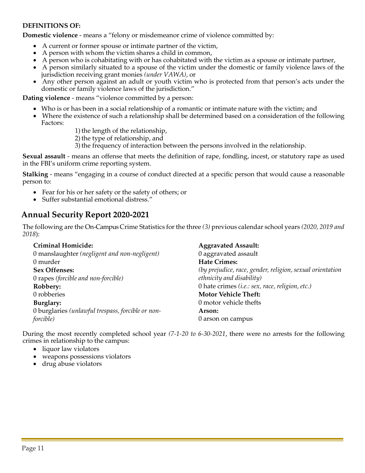#### **DEFINITIONS OF:**

**Domestic violence** - means a "felony or misdemeanor crime of violence committed by:

- A current or former spouse or intimate partner of the victim,
- A person with whom the victim shares a child in common,
- A person who is cohabitating with or has cohabitated with the victim as a spouse or intimate partner,
- A person similarly situated to a spouse of the victim under the domestic or family violence laws of the jurisdiction receiving grant monies *(under VAWA)*, or
- Any other person against an adult or youth victim who is protected from that person's acts under the domestic or family violence laws of the jurisdiction."

**Dating violence** - means "violence committed by a person:

- Who is or has been in a social relationship of a romantic or intimate nature with the victim; and
- Where the existence of such a relationship shall be determined based on a consideration of the following Factors:

1) the length of the relationship,

- 2) the type of relationship, and
- 3) the frequency of interaction between the persons involved in the relationship.

**Sexual assault** - means an offense that meets the definition of rape, fondling, incest, or statutory rape as used in the FBI's uniform crime reporting system.

**Stalking** - means "engaging in a course of conduct directed at a specific person that would cause a reasonable person to:

- Fear for his or her safety or the safety of others; or
- Suffer substantial emotional distress."

#### **Annual Security Report 2020-2021**

The following are the On-Campus Crime Statistics for the three *(3)* previous calendar school years *(2020, 2019 and 2018*):

| <b>Criminal Homicide:</b>                         | <b>Aggravated Assault:</b>                                |
|---------------------------------------------------|-----------------------------------------------------------|
| 0 manslaughter (negligent and non-negligent)      | 0 aggravated assault                                      |
| 0 murder                                          | <b>Hate Crimes:</b>                                       |
| <b>Sex Offenses:</b>                              | (by prejudice, race, gender, religion, sexual orientation |
| 0 rapes (forcible and non-forcible)               | ethnicity and disability)                                 |
| Robbery:                                          | 0 hate crimes (i.e.: sex, race, religion, etc.)           |
| 0 robberies                                       | <b>Motor Vehicle Theft:</b>                               |
| Burglary:                                         | 0 motor vehicle thefts                                    |
| 0 burglaries (unlawful trespass, forcible or non- | Arson:                                                    |
| <i>forcible</i> )                                 | 0 arson on campus                                         |

During the most recently completed school year *(7-1-20 to 6-30-2021*, there were no arrests for the following crimes in relationship to the campus:

- liquor law violators
- weapons possessions violators
- drug abuse violators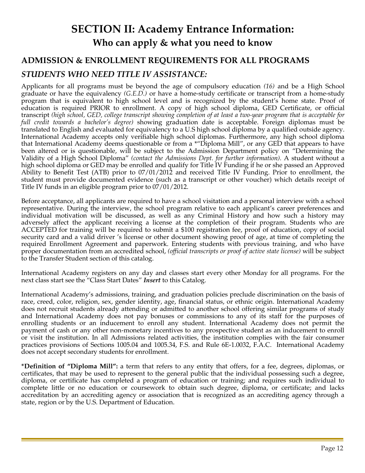# **SECTION II: Academy Entrance Information: Who can apply & what you need to know**

## **ADMISSION & ENROLLMENT REQUIREMENTS FOR ALL PROGRAMS**

## *STUDENTS WHO NEED TITLE IV ASSISTANCE:*

Applicants for all programs must be beyond the age of compulsory education *(16)* and be a High School graduate or have the equivalency *(G.E.D.)* or have a home-study certificate or transcript from a home-study program that is equivalent to high school level and is recognized by the student's home state. Proof of education is required PRIOR to enrollment. A copy of high school diploma, GED Certificate, or official transcript *(high school, GED, college transcript showing completion of at least a two-year program that is acceptable for full credit towards a bachelor's degree)* showing graduation date is acceptable. Foreign diplomas must be translated to English and evaluated for equivalency to a U.S high school diploma by a qualified outside agency. International Academy accepts only verifiable high school diplomas. Furthermore, any high school diploma that International Academy deems questionable or from a \*"Diploma Mill", or any GED that appears to have been altered or is questionable, will be subject to the Admission Department policy on "Determining the Validity of a High School Diploma" *(contact the Admissions Dept. for further information).* A student without a high school diploma or GED may be enrolled and qualify for Title IV Funding if he or she passed an Approved Ability to Benefit Test (ATB) prior to 07/01/2012 and received Title IV Funding. Prior to enrollment, the student must provide documented evidence (such as a transcript or other voucher) which details receipt of Title IV funds in an eligible program prior to 07/01/2012.

Before acceptance, all applicants are required to have a school visitation and a personal interview with a school representative. During the interview, the school program relative to each applicant's career preferences and individual motivation will be discussed, as well as any Criminal History and how such a history may adversely affect the applicant receiving a license at the completion of their program. Students who are ACCEPTED for training will be required to submit a \$100 registration fee, proof of education, copy of social security card and a valid driver 's license or other document showing proof of age, at time of completing the required Enrollment Agreement and paperwork. Entering students with previous training, and who have proper documentation from an accredited school, *(official transcripts or proof of active state license)* will be subject to the Transfer Student section of this catalog.

International Academy registers on any day and classes start every other Monday for all programs. For the next class start see the "Class Start Dates" *Insert* to this Catalog.

International Academy's admissions, training, and graduation policies preclude discrimination on the basis of race, creed, color, religion, sex, gender identity, age, financial status, or ethnic origin. International Academy does not recruit students already attending or admitted to another school offering similar programs of study and International Academy does not pay bonuses or commissions to any of its staff for the purposes of enrolling students or an inducement to enroll any student. International Academy does not permit the payment of cash or any other non-monetary incentives to any prospective student as an inducement to enroll or visit the institution. In all Admissions related activities, the institution complies with the fair consumer practices provisions of Sections 1005.04 and 1005.34, F.S. and Rule 6E-1.0032, F.A.C. International Academy does not accept secondary students for enrollment.

**\*Definition of "Diploma Mill":** a term that refers to any entity that offers, for a fee, degrees, diplomas, or certificates, that may be used to represent to the general public that the individual possessing such a degree, diploma, or certificate has completed a program of education or training; and requires such individual to complete little or no education or coursework to obtain such degree, diploma, or certificate; and lacks accreditation by an accrediting agency or association that is recognized as an accrediting agency through a state, region or by the U.S. Department of Education.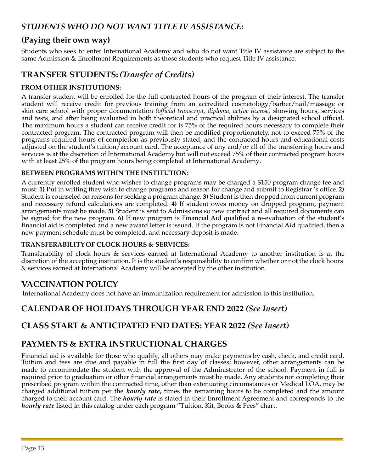## *STUDENTS WHO DO NOT WANT TITLE IV ASSISTANCE:*

## **(Paying their own way)**

Students who seek to enter International Academy and who do not want Title IV assistance are subject to the same Admission & Enrollment Requirements as those students who request Title IV assistance.

## **TRANSFER STUDENTS:** *(Transfer of Credits)*

#### **FROM OTHER INSTITUTIONS:**

A transfer student will be enrolled for the full contracted hours of the program of their interest. The transfer student will receive credit for previous training from an accredited cosmetology/barber/nail/massage or skin care school with proper documentation *(official transcript, diploma, active license)* showing hours, services and tests, and after being evaluated in both theoretical and practical abilities by a designated school official. The maximum hours a student can receive credit for is 75% of the required hours necessary to complete their contracted program. The contracted program will then be modified proportionately, not to exceed 75% of the programs required hours of completion as previously stated, and the contracted hours and educational costs adjusted on the student's tuition/account card. The acceptance of any and/or all of the transferring hours and services is at the discretion of International Academy but will not exceed 75% of their contracted program hours with at least 25% of the program hours being completed at International Academy.

#### **BETWEEN PROGRAMS WITHIN THE INSTITUTION:**

A currently enrolled student who wishes to change programs may be charged a \$150 program change fee and must: **1)** Put in writing they wish to change programs and reason for change and submit to Registrar 's office. **2)**  Student is counseled on reasons for seeking a program change. **3)** Student is then dropped from current program and necessary refund calculations are completed. **4)** If student owes money on dropped program, payment arrangements must be made. **5)** Student is sent to Admissions so new contract and all required documents can be signed for the new program. **6)** If new program is Financial Aid qualified a re-evaluation of the student's financial aid is completed and a new award letter is issued. If the program is not Financial Aid qualified, then a new payment schedule must be completed, and necessary deposit is made.

#### **TRANSFERABILITY OF CLOCK HOURS & SERVICES:**

Transferability of clock hours & services earned at International Academy to another institution is at the discretion of the accepting institution. It is the student's responsibility to confirm whether or not the clock hours & services earned at International Academy will be accepted by the other institution.

## **VACCINATION POLICY**

International Academy does not have an immunization requirement for admission to this institution.

## **CALENDAR OF HOLIDAYS THROUGH YEAR END 2022** *(See Insert)*

## **CLASS START & ANTICIPATED END DATES: YEAR 2022** *(See Insert)*

## **PAYMENTS & EXTRA INSTRUCTIONAL CHARGES**

Financial aid is available for those who qualify, all others may make payments by cash, check, and credit card. Tuition and fees are due and payable in full the first day of classes; however, other arrangements can be made to accommodate the student with the approval of the Administrator of the school. Payment in full is required prior to graduation or other financial arrangements must be made. Any students not completing their prescribed program within the contracted time, other than extenuating circumstances or Medical LOA, may be charged additional tuition per the *hourly rate***,** times the remaining hours to be completed and the amount charged to their account card. The *hourly rate* is stated in their Enrollment Agreement and corresponds to the *hourly rate* listed in this catalog under each program "Tuition, Kit, Books & Fees" chart.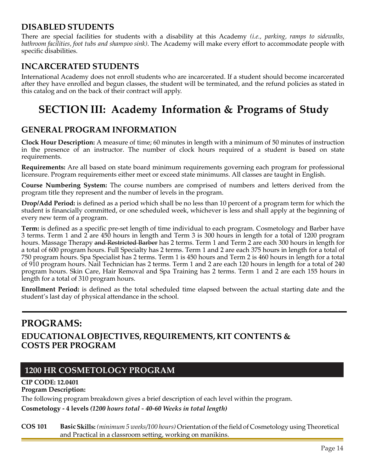## **DISABLED STUDENTS**

There are special facilities for students with a disability at this Academy *(i.e., parking, ramps to sidewalks, bathroom facilities, foot tubs and shampoo sink)*. The Academy will make every effort to accommodate people with specific disabilities.

## **INCARCERATED STUDENTS**

International Academy does not enroll students who are incarcerated. If a student should become incarcerated after they have enrolled and begun classes, the student will be terminated, and the refund policies as stated in this catalog and on the back of their contract will apply.

# **SECTION III: Academy Information & Programs of Study**

#### **GENERAL PROGRAM INFORMATION**

**Clock Hour Description:** A measure of time; 60 minutes in length with a minimum of 50 minutes of instruction in the presence of an instructor. The number of clock hours required of a student is based on state requirements.

**Requirements:** Are all based on state board minimum requirements governing each program for professional licensure. Program requirements either meet or exceed state minimums. All classes are taught in English.

**Course Numbering System:** The course numbers are comprised of numbers and letters derived from the program title they represent and the number of levels in the program.

**Drop/Add Period:** is defined as a period which shall be no less than 10 percent of a program term for which the student is financially committed, or one scheduled week, whichever is less and shall apply at the beginning of every new term of a program.

**Term:** is defined as a specific pre-set length of time individual to each program. Cosmetology and Barber have 3 terms. Term 1 and 2 are 450 hours in length and Term 3 is 300 hours in length for a total of 1200 program hours. Massage Therapy and Restricted Barber has 2 terms. Term 1 and Term 2 are each 300 hours in length for a total of 600 program hours. Full Specialty has 2 terms. Term 1 and 2 are each 375 hours in length for a total of 750 program hours. Spa Specialist has 2 terms. Term 1 is 450 hours and Term 2 is 460 hours in length for a total of 910 program hours. Nail Technician has 2 terms. Term 1 and 2 are each 120 hours in length for a total of 240 program hours. Skin Care, Hair Removal and Spa Training has 2 terms. Term 1 and 2 are each 155 hours in length for a total of 310 program hours.

**Enrollment Period:** is defined as the total scheduled time elapsed between the actual starting date and the student's last day of physical attendance in the school.

## **PROGRAMS: EDUCATIONAL OBJECTIVES, REQUIREMENTS, KIT CONTENTS & COSTS PER PROGRAM**

## **1200 HR COSMETOLOGY PROGRAM**

#### **CIP CODE: 12.0401 Program Description:**

The following program breakdown gives a brief description of each level within the program.

**Cosmetology - 4 levels** *(1200 hours total - 40-60 Weeks in total length)*

**COS 101 Basic Skills:** *(minimum 5 weeks/100 hours)* Orientation of the fieldof Cosmetology using Theoretical and Practical in a classroom setting, working on manikins.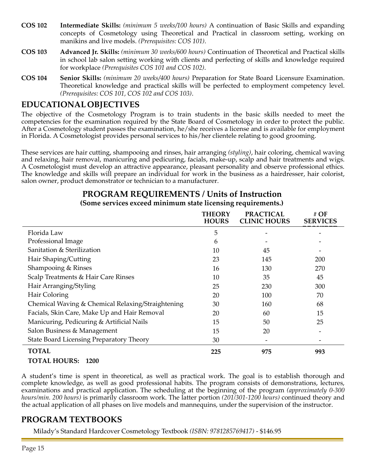- **COS 102 Intermediate Skills:** *(minimum 5 weeks/100 hours)* A continuation of Basic Skills and expanding concepts of Cosmetology using Theoretical and Practical in classroom setting, working on manikins and live models. *(Prerequisites: COS 101)*.
- **COS 103 Advanced Jr. Skills:** *(minimum 30 weeks/600 hours)* Continuation of Theoretical and Practical skills in school lab salon setting working with clients and perfecting of skills and knowledge required for workplace *(Prerequisites COS 101 and COS 102)*.
- **COS 104 Senior Skills:** *(minimum 20 weeks/400 hours)* Preparation for State Board Licensure Examination. Theoretical knowledge and practical skills will be perfected to employment competency level. *(Prerequisites: COS 101, COS 102 and COS 103)*.

## **EDUCATIONAL OBJECTIVES**

The objective of the Cosmetology Program is to train students in the basic skills needed to meet the competencies for the examination required by the State Board of Cosmetology in order to protect the public. After a Cosmetology student passes the examination, he/she receives a license and is available for employment in Florida. A Cosmetologist provides personal services to his/her clientele relating to good grooming.

These services are hair cutting, shampooing and rinses, hair arranging *(styling)*, hair coloring, chemical waving and relaxing, hair removal, manicuring and pedicuring, facials, make-up, scalp and hair treatments and wigs. A Cosmetologist must develop an attractive appearance, pleasant personality and observe professional ethics. The knowledge and skills will prepare an individual for work in the business as a hairdresser, hair colorist, salon owner, product demonstrator or technician to a manufacturer.

|                                                   | <b>THEORY</b><br><b>HOURS</b> | <b>PRACTICAL</b><br><b>CLINIC HOURS</b> | # OF<br><b>SERVICES</b> |
|---------------------------------------------------|-------------------------------|-----------------------------------------|-------------------------|
| Florida Law                                       | 5                             |                                         |                         |
| Professional Image                                | 6                             |                                         |                         |
| Sanitation & Sterilization                        | 10                            | 45                                      |                         |
| Hair Shaping/Cutting                              | 23                            | 145                                     | 200                     |
| Shampooing & Rinses                               | 16                            | 130                                     | 270                     |
| Scalp Treatments & Hair Care Rinses               | 10                            | 35                                      | 45                      |
| Hair Arranging/Styling                            | 25                            | 230                                     | 300                     |
| Hair Coloring                                     | 20                            | 100                                     | 70                      |
| Chemical Waving & Chemical Relaxing/Straightening | 30                            | 160                                     | 68                      |
| Facials, Skin Care, Make Up and Hair Removal      | 20                            | 60                                      | 15                      |
| Manicuring, Pedicuring & Artificial Nails         | 15                            | 50                                      | 25                      |
| Salon Business & Management                       | 15                            | 20                                      |                         |
| State Board Licensing Preparatory Theory          | 30                            |                                         |                         |
| <b>TOTAL</b>                                      | 225                           | 975                                     | 993                     |
| $\blacksquare$                                    |                               |                                         |                         |

## **PROGRAM REQUIREMENTS / Units of Instruction**

#### **(Some services exceed minimum state licensing requirements.)**

## **TOTAL HOURS: 1200**

A student's time is spent in theoretical, as well as practical work. The goal is to establish thorough and complete knowledge, as well as good professional habits. The program consists of demonstrations, lectures, examinations and practical application. The scheduling at the beginning of the program *(approximately 0-300 hours/min. 200 hours)* is primarily classroom work. The latter portion *(201/301-1200 hours)* continued theory and the actual application of all phases on live models and mannequins, under the supervision of the instructor.

## **PROGRAM TEXTBOOKS**

Milady's Standard Hardcover Cosmetology Textbook *(ISBN: 9781285769417)* - \$146.95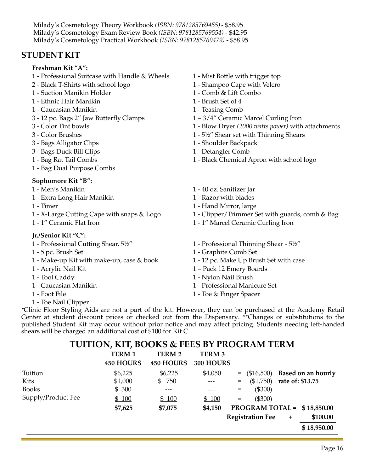Milady's Cosmetology Theory Workbook *(ISBN: 9781285769455)*- \$58.95 Milady's Cosmetology Exam Review Book *(ISBN: 9781285769554)* - \$42.95 Milady's Cosmetology Practical Workbook *(ISBN: 9781285769479)* - \$58.95

## **STUDENT KIT**

#### **Freshman Kit "A":**

- 1 Professional Suitcase with Handle & Wheels 1 Mist Bottle with trigger top
- 2 Black T-Shirts with school logo 1 Shampoo Cape with Velcro
- 1 Suction Manikin Holder 1 Comb & Lift Combo
- 1 Ethnic Hair Manikin 1 Brush Set of 4
- 1 Caucasian Manikin 1 Teasing Comb
- 3 12 pc. Bags 2" Jaw Butterfly Clamps 1 3/4" Ceramic Marcel Curling Iron
- 
- 
- 3 Bags Alligator Clips 1 Shoulder Backpack
- 3 Bags Duck Bill Clips 1 Detangler Comb
- 
- 1 Bag Dual Purpose Combs

#### **Sophomore Kit "B":**

- 
- 1 Extra Long Hair Manikin 1 Razor with blades
- 
- 
- 

#### **Jr./Senior Kit "C":**

- 
- 
- 1 Make-up Kit with make-up, case & book 1 12 pc. Make Up Brush Set with case
- 
- 
- 
- 
- 1 Toe Nail Clipper
- 
- 
- 
- 
- 
- 
- 3 Color Tint bowls 1 Blow Dryer *(2000 watts power)* with attachments
- 3 Color Brushes 1 5½" Shear set with Thinning Shears
	-
	-
- 1 Bag Rat Tail Combs 1 Black Chemical Apron with school logo
- 1 Men's Manikin 1 40 oz. Sanitizer Jar
	-
- 1 Timer 1 Hand Mirror, large
- 1 X-Large Cutting Cape with snaps & Logo 1 Clipper/Trimmer Set with guards, comb & Bag
- 1 1" Ceramic Flat Iron 1 1" Marcel Ceramic Curling Iron
- 1 Professional Cutting Shear, 5½" 1 Professional Thinning Shear 5½"
- 1 5 pc. Brush Set 1 Graphite Comb Set
	-
- 1 Acrylic Nail Kit 1 Pack 12 Emery Boards
- 1 Tool Caddy 1 Nylon Nail Brush
- 1 Caucasian Manikin 1 Professional Manicure Set
- 1 Foot File 1 Toe & Finger Spacer

\*Clinic Floor Styling Aids are not a part of the kit. However, they can be purchased at the Academy Retail Center at student discount prices or checked out from the Dispensary. \*\*Changes or substitutions to the published Student Kit may occur without prior notice and may affect pricing. Students needing left-handed shears will be charged an additional cost of \$100 for Kit C.

#### **TUITION, KIT, BOOKS & FEES BY PROGRAM TERM**

|                    | <b>TERM 1</b><br><b>450 HOURS</b> | TERM 2<br><b>450 HOURS</b> | <b>TERM 3</b><br>300 HOURS |                   |                         |                  |                              |
|--------------------|-----------------------------------|----------------------------|----------------------------|-------------------|-------------------------|------------------|------------------------------|
| Tuition            | \$6,225                           | \$6,225                    | \$4,050                    |                   | $=$ (\$16,500)          |                  | <b>Based on an hourly</b>    |
| Kits               | \$1,000                           | \$750                      |                            | $=$               | $(\$1,750)$             | rate of: \$13.75 |                              |
| <b>Books</b>       | \$300                             | ---                        |                            | $=$               | $(\$300)$               |                  |                              |
| Supply/Product Fee | \$100                             | \$100                      | \$100                      | $\qquad \qquad =$ | $(\$300)$               |                  |                              |
|                    | \$7,625                           | \$7,075                    | \$4,150                    |                   |                         |                  | PROGRAM TOTAL = $$18,850.00$ |
|                    |                                   |                            |                            |                   | <b>Registration Fee</b> | $\ddot{}$        | \$100.00                     |
|                    |                                   |                            |                            |                   |                         |                  | \$18,950.00                  |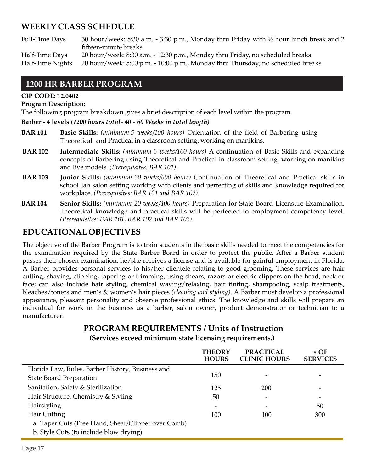## **WEEKLY CLASS SCHEDULE**

Full-Time Days 30 hour/week: 8:30 a.m. - 3:30 p.m., Monday thru Friday with ½ hour lunch break and 2 fifteen-minute breaks.

Half-Time Days 20 hour/week: 8:30 a.m. - 12:30 p.m., Monday thru Friday, no scheduled breaks Half-Time Nights 20 hour/week: 5:00 p.m. - 10:00 p.m., Monday thru Thursday; no scheduled breaks

#### **1200 HR BARBER PROGRAM**

#### **CIP CODE: 12.0402**

#### **Program Description:**

The following program breakdown gives a brief description of each level within the program.

#### **Barber - 4 levels** *(1200 hours total- 40 - 60 Weeks in total length)*

- **BAR 101 Basic Skills:** *(minimum 5 weeks/100 hours)* Orientation of the field of Barbering using Theoretical and Practical in a classroom setting, working on manikins.
- **BAR 102 Intermediate Skills:** *(minimum 5 weeks/100 hours)* A continuation of Basic Skills and expanding concepts of Barbering using Theoretical and Practical in classroom setting, working on manikins and live models. *(Prerequisites: BAR 101)*.
- **BAR 103 Junior Skills:** *(minimum 30 weeks/600 hours)* Continuation of Theoretical and Practical skills in school lab salon setting working with clients and perfecting of skills and knowledge required for workplace. *(Prerequisites: BAR 101 and BAR 102).*
- **BAR 104 Senior Skills:** *(minimum 20 weeks/400 hours)* Preparation for State Board Licensure Examination. Theoretical knowledge and practical skills will be perfected to employment competency level. *(Prerequisites: BAR 101, BAR 102 and BAR 103).*

## **EDUCATIONAL OBJECTIVES**

The objective of the Barber Program is to train students in the basic skills needed to meet the competencies for the examination required by the State Barber Board in order to protect the public. After a Barber student passes their chosen examination, he/she receives a license and is available for gainful employment in Florida. A Barber provides personal services to his/her clientele relating to good grooming. These services are hair cutting, shaving, clipping, tapering or trimming, using shears, razors or electric clippers on the head, neck or face; can also include hair styling, chemical waving/relaxing, hair tinting, shampooing, scalp treatments, bleaches/toners and men's & women's hair pieces *(cleaning and styling)*. A Barber must develop a professional appearance, pleasant personality and observe professional ethics. The knowledge and skills will prepare an individual for work in the business as a barber, salon owner, product demonstrator or technician to a manufacturer.

#### **PROGRAM REQUIREMENTS / Units of Instruction (Services exceed minimum state licensing requirements.)**

|                                                    | <b>THEORY</b><br><b>HOURS</b> | <b>PRACTICAL</b><br><b>CLINIC HOURS</b> | # $\overline{OF}$<br><b>SERVICES</b> |
|----------------------------------------------------|-------------------------------|-----------------------------------------|--------------------------------------|
| Florida Law, Rules, Barber History, Business and   |                               |                                         |                                      |
| <b>State Board Preparation</b>                     | 150                           |                                         |                                      |
| Sanitation, Safety & Sterilization                 | 125                           | 200                                     |                                      |
| Hair Structure, Chemistry & Styling                | 50                            |                                         |                                      |
| Hairstyling                                        |                               |                                         | 50                                   |
| Hair Cutting                                       | 100                           | 100                                     | 300                                  |
| a. Taper Cuts (Free Hand, Shear/Clipper over Comb) |                               |                                         |                                      |
| b. Style Cuts (to include blow drying)             |                               |                                         |                                      |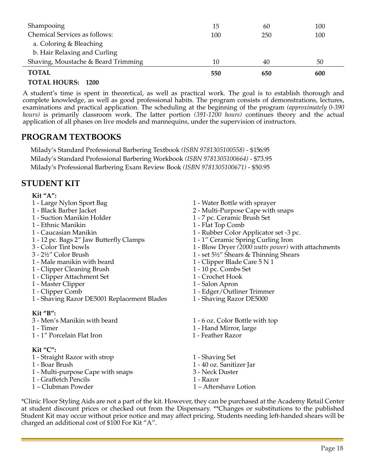| Shampooing                          | 15  | 60  | 100 |
|-------------------------------------|-----|-----|-----|
| Chemical Services as follows:       | 100 | 250 | 100 |
| a. Coloring & Bleaching             |     |     |     |
| b. Hair Relaxing and Curling        |     |     |     |
| Shaving, Moustache & Beard Trimming | 10  | 40  | 50  |
| <b>TOTAL</b>                        | 550 | 650 | 600 |

#### **TOTAL HOURS: 1200**

A student's time is spent in theoretical, as well as practical work. The goal is to establish thorough and complete knowledge, as well as good professional habits. The program consists of demonstrations, lectures, examinations and practical application. The scheduling at the beginning of the program *(approximately 0-390 hours)* is primarily classroom work. The latter portion *(391-1200 hours)* continues theory and the actual application of all phases on live models and mannequins, under the supervision of instructors.

## **PROGRAM TEXTBOOKS**

Milady's Standard Professional Barbering Textbook *(ISBN 9781305100558)* - \$156.95 Milady's Standard Professional Barbering Workbook *(ISBN 9781305100664)* - \$73.95 Milady's Professional Barbering Exam Review Book *(ISBN 9781305100671)* - \$50.95

## **STUDENT KIT**

#### **Kit "A":**

- 
- 
- 
- 1 Ethnic Manikin 1 Flat Top Comb
- 
- 1 12 pc. Bags 2" Jaw Butterfly Clamps 1 1" Ceramic Spring Curling Iron
- 
- 
- 1 Male manikin with beard 1 Clipper Blade Care 5 N 1
- 1 Clipper Cleaning Brush 1 10 pc. Combs Set
- 1 Clipper Attachment Set 1 Crochet Hook<br>1 Master Clipper 1 Salon Apron
- 1 Master Clipper
- 
- 1 Shaving Razor DE5001 Replacement Blades 1 Shaving Razor DE5000

#### **Kit "B":**

- 3 Men's Manikin with beard 1 6 oz. Color Bottle with top
- 
- 1 1" Porcelain Flat Iron 1 Feather Razor

#### **Kit "C":**

- 1 Straight Razor with strop 1 Shaving Set
- 
- 1 Multi-purpose Cape with snaps 3 Neck Duster
- 1 Graffetch Pencils 1 Razor
- 1 Clubman Powder 1 Aftershave Lotion
- 1 Large Nylon Sport Bag 1 Water Bottle with sprayer
- 1 Black Barber Jacket 2 Multi-Purpose Cape with snaps
	- 1 7 pc. Ceramic Brush Set
	-
- 1 Caucasian Manikin 1 Rubber Color Applicator set -3 pc.
	-
- 3 Color Tint bowls 1 Blow Dryer *(2000 watts power)* with attachments
	- 1 set  $5\frac{1}{2}$ " Shears & Thinning Shears
	-
	-
	-
	-
- 1 Clipper Comb 1 Edger/Outliner Trimmer
	-
	-
- 1 Timer 1 Hand Mirror, large
	-
	-
- 1 Boar Brush 1 40 oz. Sanitizer Jar
	-
	-
	-

\*Clinic Floor Styling Aids are not a part of the kit. However, they can be purchased at the Academy Retail Center at student discount prices or checked out from the Dispensary. \*\*Changes or substitutions to the published Student Kit may occur without prior notice and may affect pricing. Students needing left-handed shears will be charged an additional cost of \$100 For Kit "A".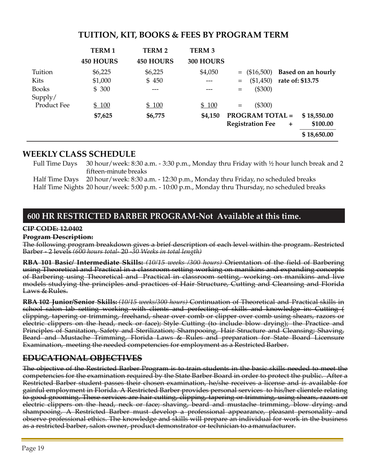|                    | <b>TERM 1</b><br><b>450 HOURS</b> | <b>TERM 2</b><br><b>450 HOURS</b> | <b>TERM 3</b><br>300 HOURS |     |                        |                                   |
|--------------------|-----------------------------------|-----------------------------------|----------------------------|-----|------------------------|-----------------------------------|
| Tuition            | \$6,225                           | \$6,225                           | \$4,050                    |     |                        | $=$ (\$16,500) Based on an hourly |
| Kits               | \$1,000                           | \$450                             |                            | $=$ |                        | $($1,450)$ rate of: \$13.75       |
| <b>Books</b>       | \$300                             |                                   |                            | $=$ | (\$300)                |                                   |
| Supply/            |                                   |                                   |                            |     |                        |                                   |
| <b>Product Fee</b> | \$100                             | \$100                             | \$100                      | $=$ | (\$300)                |                                   |
|                    | \$7,625                           | \$6,775                           | \$4,150                    |     | <b>PROGRAM TOTAL =</b> | \$18,550.00                       |

#### **TUITION, KIT, BOOKS & FEES BY PROGRAM TERM**

#### **WEEKLY CLASS SCHEDULE**

Full Time Days 30 hour/week: 8:30 a.m. - 3:30 p.m., Monday thru Friday with ½ hour lunch break and 2 fifteen-minute breaks

**Registration Fee + \$100.00**

**\$ 18,650.00**

Half Time Days 20 hour/week: 8:30 a.m. - 12:30 p.m., Monday thru Friday, no scheduled breaks

Half Time Nights 20 hour/week: 5:00 p.m. - 10:00 p.m., Monday thru Thursday, no scheduled breaks

## **600 HR RESTRICTED BARBER PROGRAM-Not Available at this time.**

#### **CIP CODE: 12.0402**

#### **Program Description:**

The following program breakdown gives a brief description of each level within the program. Restricted Barber - 2 levels *(600 hours total-* 20 *-30 Weeks in total length)*

**RBA 101 Basic/ Intermediate Skills:** *(10/15 weeks /300 hours)* Orientation of the field of Barbering using Theoretical and Practical in a classroom setting working on manikins and expanding concepts of Barbering using Theoretical and Practical in classroom setting, working on manikins and live models studying the principles and practices of Hair Structure, Cutting and Cleansing and Florida Laws & Rules.

**RBA 102 Junior/Senior Skills:** *(10/15 weeks/300 hours)* Continuation of Theoretical and Practical skills in school salon lab setting working with clients and perfecting of skills and knowledge in: Cutting ( clipping, tapering or trimming, freehand, shear over comb or clipper over comb using shears, razors or electric clippers on the head, neck or face); Style Cutting (to include blow drying); the Practice and Principles of Sanitation, Safety and Sterilization; Shampooing, Hair Structure and Cleansing; Shaving, Beard and Mustache Trimming, Florida Laws & Rules and preparation for State Board Licensure Examination, meeting the needed competencies for employment as a Restricted Barber.

## <span id="page-18-0"></span>**EDUCATIONAL OBJECTIVES**

The objective of the Restricted Barber Program is to train students in the basic skills needed to meet the competencies for the examination required by the State Barber Board in order to protect the public. After a Restricted Barber student passes their chosen examination, he/she receives a license and is available for gainful employment in Florida. A Restricted Barber provides personal services to his/her clientele relating to good grooming. These services are hair cutting, clipping, tapering or trimming, using shears, razors or electric clippers on the head, neck or face; shaving, beard and mustache trimming, blow drying and shampooing. A Restricted Barber must develop a professional appearance, pleasant personality and observe professional ethics. The knowledge and skills will prepare an individual for work in the business as a restricted barber, salon owner, product demonstrator or technician to amanufacturer.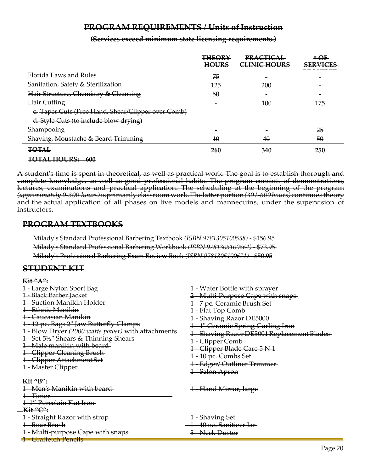#### **PROGRAM REQUIREMENTS / Units of Instruction**

| (Services exceed minimum state licensing requirements) |  |  |  |
|--------------------------------------------------------|--|--|--|
| TOCIVICO CACCCU ININIMUM SURC IRCHSING ICQUITEMENTS,   |  |  |  |

<span id="page-19-0"></span>

|                                                    | <b>THEORY</b><br><b>HOURS</b> | <b>PRACTICAL</b><br><b>CLINIC HOURS</b> | #OF<br><b>SERVICES</b> |
|----------------------------------------------------|-------------------------------|-----------------------------------------|------------------------|
| Florida Laws and Rules                             | 75                            |                                         |                        |
| Sanitation, Safety & Sterilization                 | <del>125</del>                | 200                                     |                        |
| Hair Structure, Chemistry & Cleansing              | 50                            | $\overline{\phantom{0}}$                |                        |
| Hair Cutting                                       |                               | 100                                     | 175                    |
| e. Taper Cuts (Free Hand, Shear/Clipper over Comb) |                               |                                         |                        |
| d. Style Cuts (to include blow drying)             |                               |                                         |                        |
| Shampooing                                         |                               |                                         | 25                     |
| Shaving, Moustache & Beard Trimming                | 10                            | 40                                      | 50                     |
| <b>TOTAL</b><br>r <del>o me</del>                  | <b>260</b>                    | 340                                     | 250                    |

**TOTAL HOURS: 600**

A student's time is spent in theoretical, as well as practical work. The goal is to establish thorough and complete knowledge, as well as good professional habits. The program consists of demonstrations, lectures, examinations and practical application. The scheduling at the beginning of the program *(approximately 0-300 hours)*isprimarilyclassroomwork.Thelatterportion*(301-600 hours)*continues theory and the actual application of all phases on live models and mannequins, under the supervision of instructors.

#### <span id="page-19-1"></span>**PROGRAM TEXTBOOKS**

Milady's Standard Professional Barbering Textbook *(ISBN 9781305100558)* - \$156.95 Milady's Standard Professional Barbering Workbook *(ISBN 9781305100664)* - \$73.95 Milady's Professional Barbering Exam Review Book *(ISBN 9781305100671)* - \$50.95

#### <span id="page-19-2"></span>**STUDENT KIT**

| Kit "A":<br>1 Large Nylon Sport Bag<br>1 Black Barber Jacket<br><b>Suction Manikin Holder</b><br><del>- Ethnic Manikin</del><br><del>– Caucasian Manikin</del><br>1 12 pc. Bags 2" Jaw Butterfly Clamps<br>1 Blow Dryer (2000 watts power) with attachments<br>1 Set 51/2" Shears & Thinning Shears<br>Male manikin with beard-<br><b>1 Clipper Cleaning Brush-</b><br>1 Clipper Attachment Set<br><b>1 Master Clipper</b> | 1 Water Bottle with sprayer<br>2 Multi Purpose Cape with snaps-<br>1-7 pc. Ceramic Brush Set<br>1-Flat Top Comb<br>1 Shaving Razor DE5000<br>1 1" Ceramic Spring Curling Iron<br>1 Shaving Razor DE5001 Replacement Blades<br>1 Clipper Comb<br>1 - Clipper Blade Care 5 N 1<br>1 10 pc. Combs Set<br>1 Edger/Outliner Trimmer-<br>1 Salon Apron |
|----------------------------------------------------------------------------------------------------------------------------------------------------------------------------------------------------------------------------------------------------------------------------------------------------------------------------------------------------------------------------------------------------------------------------|--------------------------------------------------------------------------------------------------------------------------------------------------------------------------------------------------------------------------------------------------------------------------------------------------------------------------------------------------|
| Kit "B":<br><del>1 Men's Manikin with beard</del><br><del>1 Timer</del><br><del>1-1″ Porcelain Flat Iron-</del><br><b>Kit "C":</b><br>1 Straight Razor with strop-<br>1 Boar Brush<br>1 Multi purpose Cape with snaps-<br><del>1 Graffetch Pencils</del>                                                                                                                                                                   | 1 Hand Mirror, large<br>1 Shaving Set<br>1 40 oz. Sanitizer Jar-<br>3 Neck Duster                                                                                                                                                                                                                                                                |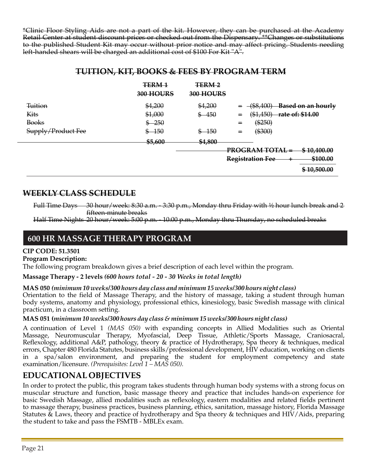\*Clinic Floor Styling Aids are not a part of the kit. However, they can be purchased at the Academy Retail Center at student discount prices or checked out from the Dispensary. \*\*Changes or substitutions to the published Student Kit may occur without prior notice and may affect pricing. Students needing left-handed shears will be charged an additional cost of \$100 For Kit "A".

#### **TUITION, KIT, BOOKS & FEES BY PROGRAM TERM**

|                        | TERM <sub>1</sub><br>300 HOURS | <b>TERM2</b><br>300 HOURS |                                                                                                                                           |
|------------------------|--------------------------------|---------------------------|-------------------------------------------------------------------------------------------------------------------------------------------|
| <b>Tuition</b><br>Kits | \$4,200<br>\$1,000             | \$4,200<br>450<br>\$      | (¢8.400)<br><b>Based on an hourly</b><br><del>100,100)</del><br>( <u>ደ1 <i>ለ</i>50)</u><br>rate of: \$14.00<br>$=$<br><del>19171901</del> |
| <b>Books</b>           | 250                            |                           | $(*250)$<br>$=$                                                                                                                           |
| Supply/Product Fee     | 150<br>\$                      | 150<br>\$                 | $(*300)$<br>$=$                                                                                                                           |
|                        | \$5,600                        | \$4,800                   |                                                                                                                                           |
|                        |                                |                           | PROGRAM TOTAL<br>\$10,400.00<br><b>Registration Fee</b><br>\$100.00                                                                       |
|                        |                                |                           | \$10,500.00                                                                                                                               |

## **WEEKLY CLASS SCHEDULE**

Full Time Days 30 hour/week: 8:30 a.m. - 3:30 p.m., Monday thru Friday with ½ hour lunch break and 2 fifteen-minute breaks

Half Time Nights 20 hour/week: 5:00 p.m. - 10:00 p.m., Monday thru Thursday, no scheduled breaks

## **600 HR MASSAGE THERAPY PROGRAM**

#### **CIP CODE: 51.3501**

#### **Program Description:**

The following program breakdown gives a brief description of each level within the program.

#### **Massage Therapy - 2 levels** *(600 hours total - 20 - 30 Weeks in total length)*

#### **MAS 050** *(minimum 10 weeks/300 hours day class and minimum 15 weeks/300 hours night class)*

Orientation to the field of Massage Therapy, and the history of massage, taking a student through human body systems, anatomy and physiology, professional ethics, kinesiology, basic Swedish massage with clinical practicum, in a classroom setting.

#### **MAS 051 (***minimum 10 weeks/300 hours day class & minimum 15 weeks/300 hours night class)*

A continuation of Level 1 *(MAS 050)* with expanding concepts in Allied Modalities such as Oriental Massage, Neuromuscular Therapy, Myofascial, Deep Tissue, Athletic/Sports Massage, Craniosacral, Reflexology, additional A&P, pathology, theory & practice of Hydrotherapy, Spa theory & techniques, medical errors, Chapter 480 Florida Statutes, business skills/professional development, HIV education, working on clients in a spa/salon environment, and preparing the student for employment competency and state examination/licensure. *(Prerequisites: Level 1 – MAS 050).*

## **EDUCATIONAL OBJECTIVES**

In order to protect the public, this program takes students through human body systems with a strong focus on muscular structure and function, basic massage theory and practice that includes hands-on experience for basic Swedish Massage, allied modalities such as reflexology, eastern modalities and related fields pertinent to massage therapy, business practices, business planning, ethics, sanitation, massage history, Florida Massage Statutes & Laws, theory and practice of hydrotherapy and Spa theory & techniques and HIV/Aids, preparing the student to take and pass the FSMTB - MBLEx exam.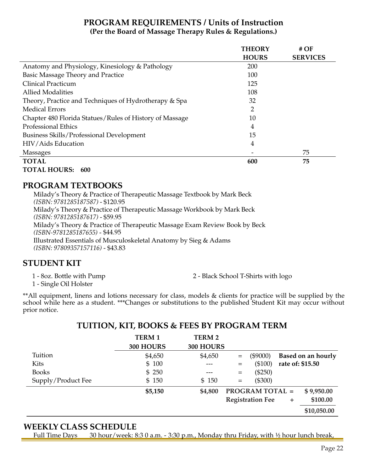## **PROGRAM REQUIREMENTS / Units of Instruction (Per the Board of Massage Therapy Rules & Regulations.)**

|                                                         | <b>THEORY</b> | #OF             |
|---------------------------------------------------------|---------------|-----------------|
|                                                         | <b>HOURS</b>  | <b>SERVICES</b> |
| Anatomy and Physiology, Kinesiology & Pathology         | 200           |                 |
| Basic Massage Theory and Practice                       | 100           |                 |
| Clinical Practicum                                      | 125           |                 |
| <b>Allied Modalities</b>                                | 108           |                 |
| Theory, Practice and Techniques of Hydrotherapy & Spa   | 32            |                 |
| <b>Medical Errors</b>                                   | 2             |                 |
| Chapter 480 Florida Statues/Rules of History of Massage | 10            |                 |
| <b>Professional Ethics</b>                              | 4             |                 |
| Business Skills/Professional Development                | 15            |                 |
| HIV/Aids Education                                      | 4             |                 |
| <b>Massages</b>                                         |               | 75              |
| <b>TOTAL</b>                                            | 600           | 75              |
| <b>TOTAL HOURS:</b><br>600                              |               |                 |

#### **PROGRAM TEXTBOOKS**

Milady's Theory & Practice of Therapeutic Massage Textbook by Mark Beck *(ISBN: 9781285187587)* - \$120.95 Milady's Theory & Practice of Therapeutic Massage Workbook by Mark Beck *(ISBN: 9781285187617)* - \$59.95 Milady's Theory & Practice of Therapeutic Massage Exam Review Book by Beck *(ISBN-9781285187655)* - \$44.95 Illustrated Essentials of Musculoskeletal Anatomy by Sieg & Adams *(ISBN: 97809357157116)* - \$43.83

## **STUDENT KIT**

1 - 8oz. Bottle with Pump 2 - Black School T-Shirts with logo

1 - Single Oil Holster

\*\*All equipment, linens and lotions necessary for class, models & clients for practice will be supplied by the school while here as a student. \*\*\*Changes or substitutions to the published Student Kit may occur without prior notice.

#### **TUITION, KIT, BOOKS & FEES BY PROGRAM TERM**

|                    | <b>TERM1</b><br>300 HOURS | <b>TERM 2</b><br>300 HOURS |     |                         |                  |                    |
|--------------------|---------------------------|----------------------------|-----|-------------------------|------------------|--------------------|
| Tuition            | \$4,650                   | \$4,650                    | $=$ | $(\$9000)$              |                  | Based on an hourly |
| Kits               | \$100                     |                            | $=$ | (\$100)                 | rate of: \$15.50 |                    |
| <b>Books</b>       | \$250                     | ---                        | $=$ | $(\$250)$               |                  |                    |
| Supply/Product Fee | \$150                     | \$150                      | $=$ | $(\$300)$               |                  |                    |
|                    | \$5,150                   | \$4,800                    |     | <b>PROGRAM TOTAL =</b>  |                  | \$9,950.00         |
|                    |                           |                            |     | <b>Registration Fee</b> | ÷.               | \$100.00           |
|                    |                           |                            |     |                         |                  | \$10,050.00        |

#### **WEEKLY CLASS SCHEDULE**

Full Time Days 30 hour/week: 8:3 0 a.m. - 3:30 p.m., Monday thru Friday, with  $\frac{1}{2}$  hour lunch break,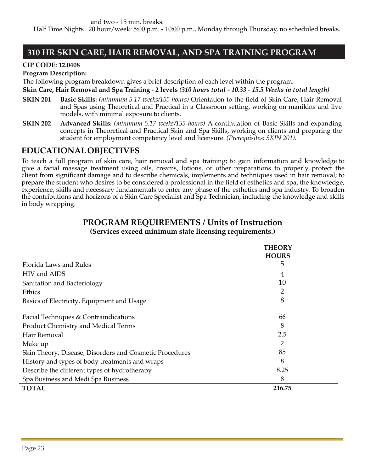#### **310 HR SKIN CARE, HAIR REMOVAL, AND SPA TRAINING PROGRAM**

#### **CIP CODE: 12.0408**

#### **Program Description:**

The following program breakdown gives a brief description of each level within the program.

**Skin Care, Hair Removal and Spa Training - 2 levels** *(310 hours total - 10.33 - 15.5 Weeks in total length)*

- **SKIN 201 Basic Skills:** *(minimum 5.17 weeks/155 hours)* Orientation to the field of Skin Care, Hair Removal and Spas using Theoretical and Practical in a Classroom setting, working on manikins and live models, with minimal exposure to clients.
- **SKIN 202 Advanced Skills:** *(minimum 5.17 weeks/155 hours)* A continuation of Basic Skills and expanding concepts in Theoretical and Practical Skin and Spa Skills, working on clients and preparing the student for employment competency level and licensure. *(Prerequisites: SKIN 201).*

## **EDUCATIONAL OBJECTIVES**

To teach a full program of skin care, hair removal and spa training; to gain information and knowledge to give a facial massage treatment using oils, creams, lotions, or other preparations to properly protect the client from significant damage and to describe chemicals, implements and techniques used in hair removal; to prepare the student who desires to be considered a professional in the field of esthetics and spa, the knowledge, experience, skills and necessary fundamentals to enter any phase of the esthetics and spa industry. To broaden the contributions and horizons of a Skin Care Specialist and Spa Technician, including the knowledge and skills in body wrapping.

#### **PROGRAM REQUIREMENTS / Units of Instruction (Services exceed minimum state licensing requirements.)**

|                                                         | <b>THEORY</b> |  |
|---------------------------------------------------------|---------------|--|
|                                                         | <b>HOURS</b>  |  |
| Florida Laws and Rules                                  | 5             |  |
| HIV and AIDS                                            | 4             |  |
| Sanitation and Bacteriology                             | 10            |  |
| Ethics                                                  | 2             |  |
| Basics of Electricity, Equipment and Usage              | 8             |  |
| Facial Techniques & Contraindications                   | 66            |  |
| <b>Product Chemistry and Medical Terms</b>              | 8             |  |
| Hair Removal                                            | 2.5           |  |
| Make up                                                 | 2             |  |
| Skin Theory, Disease, Disorders and Cosmetic Procedures | 85            |  |
| History and types of body treatments and wraps          | 8             |  |
| Describe the different types of hydrotherapy            | 8.25          |  |
| Spa Business and Medi Spa Business                      | 8             |  |
| <b>TOTAL</b>                                            | 216.75        |  |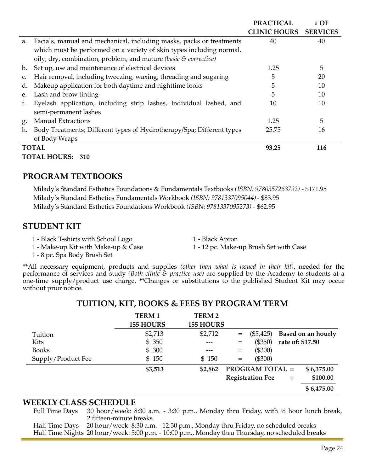|    |                                                                       | <b>PRACTICAL</b>    | # OF            |
|----|-----------------------------------------------------------------------|---------------------|-----------------|
|    |                                                                       | <b>CLINIC HOURS</b> | <b>SERVICES</b> |
| a. | Facials, manual and mechanical, including masks, packs or treatments  | 40                  | 40              |
|    | which must be performed on a variety of skin types including normal,  |                     |                 |
|    | oily, dry, combination, problem, and mature (basic & corrective)      |                     |                 |
| b. | Set up, use and maintenance of electrical devices                     | 1.25                | 5               |
| C. | Hair removal, including tweezing, waxing, threading and sugaring      | 5                   | 20              |
| d. | Makeup application for both daytime and nighttime looks               | 5                   | 10              |
| e. | Lash and brow tinting                                                 | 5                   | 10              |
| f. | Eyelash application, including strip lashes, Individual lashed, and   | 10                  | 10              |
|    | semi-permanent lashes                                                 |                     |                 |
| g. | <b>Manual Extractions</b>                                             | 1.25                | 5               |
| h. | Body Treatments; Different types of Hydrotherapy/Spa; Different types | 25.75               | 16              |
|    | of Body Wraps                                                         |                     |                 |
|    | <b>TOTAL</b>                                                          | 93.25               | 116             |
|    | <b>TOTAL HOURS: 310</b>                                               |                     |                 |

#### **PROGRAM TEXTBOOKS**

Milady's Standard Esthetics Foundations & Fundamentals Textbooks *(ISBN: 9780357263792)* - \$171.95 Milady's Standard Esthetics Fundamentals Workbook *(ISBN: 9781337095044)* - \$83.95 Milady's Standard Esthetics Foundations Workbook *(ISBN: 9781337095273)* - \$62.95

#### **STUDENT KIT**

- 1 Black T-shirts with School Logo 1 Black Apron
- 1 Make-up Kit with Make-up & Case 1 12 pc. Make-up Brush Set with Case
- 

1 - 8 pc. Spa Body Brush Set

\*\*All necessary equipment, products and supplies *(other than what is issued in their kit)*, needed for the performance of services and study *(Both clinic & practice use)* are supplied by the Academy to students at a one-time supply/product use charge. \*\*Changes or substitutions to the published Student Kit may occur without prior notice.

|                    | <b>TERM1</b><br><b>155 HOURS</b> | <b>TERM2</b><br><b>155 HOURS</b> |     |                         |                  |                           |
|--------------------|----------------------------------|----------------------------------|-----|-------------------------|------------------|---------------------------|
| Tuition            | \$2,713                          | \$2,712                          | $=$ | $(\$5,425)$             |                  | <b>Based on an hourly</b> |
| Kits               | \$350                            |                                  | =   | (\$350)                 | rate of: \$17.50 |                           |
| <b>Books</b>       | \$300                            | ---                              | $=$ | $(\$300)$               |                  |                           |
| Supply/Product Fee | \$150                            | \$150                            | $=$ | $(\$300)$               |                  |                           |
|                    | \$3,513                          | \$2,862                          |     | <b>PROGRAM TOTAL =</b>  |                  | \$6,375.00                |
|                    |                                  |                                  |     | <b>Registration Fee</b> | ÷                | \$100.00                  |
|                    |                                  |                                  |     |                         |                  | \$6,475.00                |

#### **TUITION, KIT, BOOKS & FEES BY PROGRAM TERM**

#### **WEEKLY CLASS SCHEDULE**

Full Time Days 30 hour/week: 8:30 a.m. - 3:30 p.m., Monday thru Friday, with ½ hour lunch break, 2 fifteen-minute breaks

Half Time Days 20 hour/week: 8:30 a.m. - 12:30 p.m., Monday thru Friday, no scheduled breaks Half Time Nights 20 hour/week: 5:00 p.m. - 10:00 p.m., Monday thru Thursday, no scheduled breaks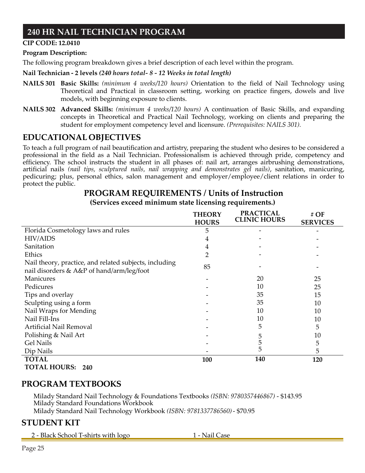## **240 HR NAIL TECHNICIAN PROGRAM**

#### **CIP CODE: 12.0410**

#### **Program Description:**

The following program breakdown gives a brief description of each level within the program.

#### **Nail Technician - 2 levels** *(240 hours total- 8 - 12 Weeks in total length)*

- **NAILS 301 Basic Skills:** *(minimum 4 weeks/120 hours)* Orientation to the field of Nail Technology using Theoretical and Practical in classroom setting, working on practice fingers, dowels and live models, with beginning exposure to clients.
- **NAILS 302 Advanced Skills:** *(minimum 4 weeks/120 hours)* A continuation of Basic Skills, and expanding concepts in Theoretical and Practical Nail Technology, working on clients and preparing the student for employment competency level and licensure. *(Prerequisites: NAILS 301).*

## **EDUCATIONAL OBJECTIVES**

To teach a full program of nail beautification and artistry, preparing the student who desires to be considered a professional in the field as a Nail Technician. Professionalism is achieved through pride, competency and efficiency. The school instructs the student in all phases of: nail art, arranges airbrushing demonstrations, artificial nails *(nail tips, sculptured nails, nail wrapping and demonstrates gel nails)*, sanitation, manicuring, pedicuring; plus, personal ethics, salon management and employer/employee/client relations in order to protect the public.

## **PROGRAM REQUIREMENTS / Units of Instruction**

**(Services exceed minimum state licensing requirements.)**

|                                                        | <b>THEORY</b><br><b>HOURS</b> | <b>PRACTICAL</b><br><b>CLINIC HOURS</b> | # OF<br><b>SERVICES</b> |
|--------------------------------------------------------|-------------------------------|-----------------------------------------|-------------------------|
| Florida Cosmetology laws and rules                     | 5                             |                                         |                         |
| <b>HIV/AIDS</b>                                        | 4                             |                                         |                         |
| Sanitation                                             | 4                             |                                         |                         |
| Ethics                                                 | 2                             |                                         |                         |
| Nail theory, practice, and related subjects, including |                               |                                         |                         |
| nail disorders & A&P of hand/arm/leg/foot              | 85                            |                                         |                         |
| <b>Manicures</b>                                       |                               | 20                                      | 25                      |
| Pedicures                                              |                               | 10                                      | 25                      |
| Tips and overlay                                       |                               | 35                                      | 15                      |
| Sculpting using a form                                 |                               | 35                                      | 10                      |
| Nail Wraps for Mending                                 |                               | 10                                      | 10                      |
| Nail Fill-Ins                                          |                               | 10                                      | 10                      |
| Artificial Nail Removal                                |                               | 5                                       | 5                       |
| Polishing & Nail Art                                   |                               | 5                                       | 10                      |
| <b>Gel Nails</b>                                       |                               | 5                                       | 5                       |
| Dip Nails                                              |                               | 5                                       | 5                       |
| <b>TOTAL</b>                                           | 100                           | 140                                     | 120                     |
| <b>TOTAL HOURS: 240</b>                                |                               |                                         |                         |

#### **PROGRAM TEXTBOOKS**

Milady Standard Nail Technology & Foundations Textbooks *(ISBN: 9780357446867)* - \$143.95 Milady Standard Foundations Workbook Milady Standard Nail Technology Workbook *(ISBN: 9781337786560)*- \$70.95

## **STUDENT KIT**

2 - Black School T-shirts with logo 1 - Nail Case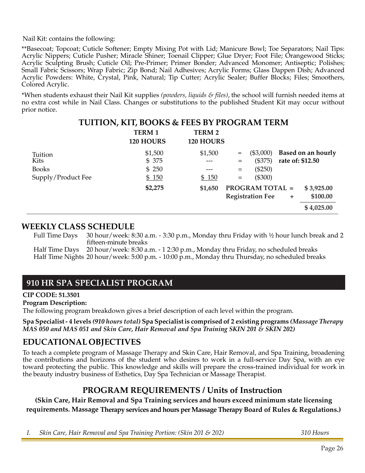Nail Kit: contains the following:

\*\*Basecoat; Topcoat; Cuticle Softener; Empty Mixing Pot with Lid; Manicure Bowl; Toe Separators; Nail Tips: Acrylic Nippers; Cuticle Pusher; Miracle Shiner; Toenail Clipper; Glue Dryer; Foot File; Orangewood Sticks; Acrylic Sculpting Brush; Cuticle Oil; Pre-Primer; Primer Bonder; Advanced Monomer; Antiseptic; Polishes; Small Fabric Scissors; Wrap Fabric; Zip Bond; Nail Adhesives; Acrylic Forms; Glass Dappen Dish; Advanced Acrylic Powders: White, Crystal, Pink, Natural; Tip Cutter; Acrylic Sealer; Buffer Blocks; Files; Smoothers, Colored Acrylic.

\*When students exhaust their Nail Kit supplies *(powders, liquids & files)*, the school will furnish needed items at no extra cost while in Nail Class. Changes or substitutions to the published Student Kit may occur without prior notice.

|                    | <b>TUITION, KIT, BOOKS &amp; FEES BY PROGRAM TERM</b> |               |     |                         |           |                           |
|--------------------|-------------------------------------------------------|---------------|-----|-------------------------|-----------|---------------------------|
|                    | <b>TERM1</b>                                          | <b>TERM 2</b> |     |                         |           |                           |
|                    | 120 HOURS                                             | 120 HOURS     |     |                         |           |                           |
| Tuition            | \$1,500                                               | \$1,500       | =   | $(\$3,000)$             |           | <b>Based on an hourly</b> |
| Kits               | \$375                                                 |               | $=$ | (\$375)                 |           | rate of: \$12.50          |
| <b>Books</b>       | \$250                                                 |               | $=$ | $(\$250)$               |           |                           |
| Supply/Product Fee | \$150                                                 | \$150         | $=$ | (\$300)                 |           |                           |
|                    | \$2,275                                               | \$1,650       |     | <b>PROGRAM TOTAL =</b>  |           | \$3,925.00                |
|                    |                                                       |               |     | <b>Registration Fee</b> | $\ddot{}$ | \$100.00                  |
|                    |                                                       |               |     |                         |           | \$4,025.00                |

# **WEEKLY CLASS SCHEDULE**

30 hour/week: 8:30 a.m. - 3:30 p.m., Monday thru Friday with  $\frac{1}{2}$  hour lunch break and 2 fifteen-minute breaks

Half Time Days 20 hour/week: 8:30 a.m. - 1 2:30 p.m., Monday thru Friday, no scheduled breaks Half Time Nights 20 hour/week: 5:00 p.m. - 10:00 p.m., Monday thru Thursday, no scheduled breaks

## **910 HR SPA SPECIALIST PROGRAM**

**CIP CODE: 51.3501**

**Program Description:**

The following program breakdown gives a brief description of each level within the program.

**Spa Specialist- 4 levels** *(910 hours total)* **Spa Specialistis comprised of 2 existing programs** *(Massage Therapy MAS 050 and MAS 051 and Skin Care, Hair Removal and Spa Training SKIN 201 & SKIN 202)*

#### **EDUCATIONAL OBJECTIVES**

To teach a complete program of Massage Therapy and Skin Care, Hair Removal, and Spa Training, broadening the contributions and horizons of the student who desires to work in a full-service Day Spa, with an eye toward protecting the public. This knowledge and skills will prepare the cross-trained individual for work in the beauty industry business of Esthetics, Day Spa Technician or Massage Therapist.

## **PROGRAM REQUIREMENTS / Units of Instruction**

**(Skin Care, Hair Removal and Spa Training services and hours exceed minimum state licensing requirements. Massage Therapy services and hours per Massage Therapy Board of Rules & Regulations.)**

*I. Skin Care, Hair Removal and Spa Training Portion: (Skin 201 & 202) 310 Hours*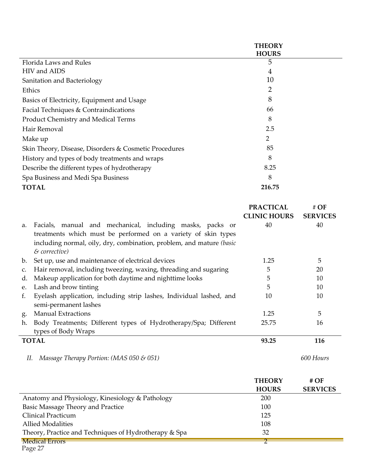|                                                                                                    | <b>THEORY</b><br><b>HOURS</b>           |                         |
|----------------------------------------------------------------------------------------------------|-----------------------------------------|-------------------------|
| Florida Laws and Rules                                                                             | 5                                       |                         |
| HIV and AIDS                                                                                       | 4                                       |                         |
| Sanitation and Bacteriology                                                                        | 10                                      |                         |
| Ethics                                                                                             | 2                                       |                         |
| Basics of Electricity, Equipment and Usage                                                         | 8                                       |                         |
| Facial Techniques & Contraindications                                                              | 66                                      |                         |
| Product Chemistry and Medical Terms                                                                | 8                                       |                         |
| Hair Removal                                                                                       | 2.5                                     |                         |
| Make up                                                                                            | $\overline{2}$                          |                         |
| Skin Theory, Disease, Disorders & Cosmetic Procedures                                              | 85                                      |                         |
| History and types of body treatments and wraps                                                     | 8                                       |                         |
| Describe the different types of hydrotherapy                                                       | 8.25                                    |                         |
| Spa Business and Medi Spa Business                                                                 | 8                                       |                         |
| <b>TOTAL</b>                                                                                       | 216.75                                  |                         |
|                                                                                                    |                                         |                         |
|                                                                                                    |                                         |                         |
|                                                                                                    | <b>PRACTICAL</b><br><b>CLINIC HOURS</b> | # OF<br><b>SERVICES</b> |
| Facials, manual and mechanical, including masks, packs or<br>a.                                    | 40                                      | 40                      |
| treatments which must be performed on a variety of skin types                                      |                                         |                         |
| including normal, oily, dry, combination, problem, and mature (basic<br>$\&$ corrective)           |                                         |                         |
| Set up, use and maintenance of electrical devices<br>b.                                            | 1.25                                    | 5                       |
| Hair removal, including tweezing, waxing, threading and sugaring<br>c.                             | 5                                       | 20                      |
| Makeup application for both daytime and nighttime looks<br>d.                                      | 5                                       | 10                      |
| Lash and brow tinting<br>e.                                                                        | 5                                       | 10                      |
| Eyelash application, including strip lashes, Individual lashed, and<br>f.<br>semi-permanent lashes | 10                                      | 10                      |
| <b>Manual Extractions</b><br>g.                                                                    | 1.25                                    | 5                       |
| Body Treatments; Different types of Hydrotherapy/Spa; Different<br>h.                              | 25.75                                   | 16                      |
| types of Body Wraps                                                                                |                                         |                         |
| <b>TOTAL</b>                                                                                       | 93.25                                   | 116                     |

|                                                       | <b>THEORY</b> | # $OF$          |
|-------------------------------------------------------|---------------|-----------------|
|                                                       | <b>HOURS</b>  | <b>SERVICES</b> |
| Anatomy and Physiology, Kinesiology & Pathology       | 200           |                 |
| Basic Massage Theory and Practice                     | 100           |                 |
| Clinical Practicum                                    | 125           |                 |
| <b>Allied Modalities</b>                              | 108           |                 |
| Theory, Practice and Techniques of Hydrotherapy & Spa | 32            |                 |
| <b>Medical Errors</b>                                 |               |                 |

Page 27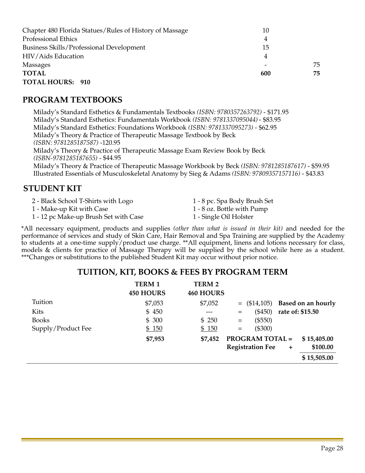| Chapter 480 Florida Statues/Rules of History of Massage | 10  |     |
|---------------------------------------------------------|-----|-----|
| <b>Professional Ethics</b>                              | 4   |     |
| Business Skills/Professional Development                | 15  |     |
| HIV/Aids Education                                      | 4   |     |
| Massages                                                | -   | 75  |
| <b>TOTAL</b>                                            | 600 | 75. |
| <b>TOTAL HOURS: 910</b>                                 |     |     |

#### **PROGRAM TEXTBOOKS**

Milady's Standard Esthetics & Fundamentals Textbooks *(ISBN: 9780357263792)* - \$171.95 Milady's Standard Esthetics: Fundamentals Workbook *(ISBN: 9781337095044)* - \$83.95 Milady's Standard Esthetics: Foundations Workbook *(ISBN: 9781337095273)* - \$62.95 Milady's Theory & Practice of Therapeutic Massage Textbook by Beck *(ISBN: 9781285187587)* -120.95 Milady's Theory & Practice of Therapeutic Massage Exam Review Book by Beck *(ISBN-9781285187655)* - \$44.95 Milady's Theory & Practice of Therapeutic Massage Workbook by Beck *(ISBN: 9781285187617)* - \$59.95 Illustrated Essentials of Musculoskeletal Anatomy by Sieg & Adams *(ISBN: 97809357157116)* - \$43.83

#### **STUDENT KIT**

- 2 Black School T-Shirts with Logo 1 8 pc. Spa Body Brush Set
- 1 Make-up Kit with Case 1 8 oz. Bottle with Pump
- 1 12 pc Make-up Brush Set with Case 1 Single Oil Holster
- 
- -

\*All necessary equipment, products and supplies *(other than what is issued in their kit)* and needed for the performance of services and study of Skin Care, Hair Removal and Spa Training are supplied by the Academy to students at a one-time supply/product use charge. \*\*All equipment, linens and lotions necessary for class, models & clients for practice of Massage Therapy will be supplied by the school while here as a student. \*\*\*Changes or substitutions to the published Student Kit may occur without prior notice.

#### **TUITION, KIT, BOOKS & FEES BY PROGRAM TERM**

|                    | <b>TERM 1</b><br><b>450 HOURS</b> | <b>TERM 2</b><br><b>460 HOURS</b> |                                      |                    |
|--------------------|-----------------------------------|-----------------------------------|--------------------------------------|--------------------|
| Tuition            | \$7,053                           | \$7,052                           | $=$ (\$14,105)                       | Based on an hourly |
| Kits               | \$450                             |                                   | $(\$450)$<br>$=$                     | rate of: \$15.50   |
| <b>Books</b>       | \$300                             | \$250                             | $(\$550)$<br>$\qquad \qquad =$       |                    |
| Supply/Product Fee | \$150                             | \$150                             | $(\$300)$<br>$=$                     |                    |
|                    | \$7,953                           | \$7,452                           | <b>PROGRAM TOTAL =</b>               | \$15,405.00        |
|                    |                                   |                                   | <b>Registration Fee</b><br>$\ddot{}$ | \$100.00           |
|                    |                                   |                                   |                                      | \$15,505.00        |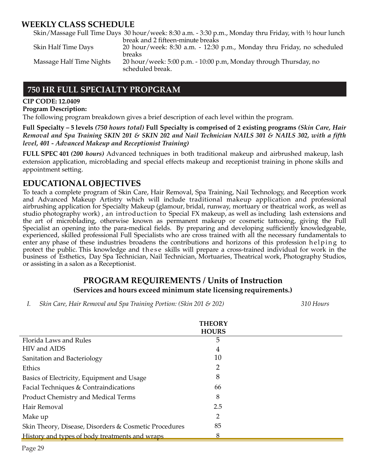#### **WEEKLY CLASS SCHEDULE**

Skin/Massage Full Time Days 30 hour/week: 8:30 a.m. - 3:30 p.m., Monday thru Friday, with ½ hour lunch break and 2 fifteen-minute breaks

| Skin Half Time Days      | 20 hour/week: 8:30 a.m. - 12:30 p.m., Monday thru Friday, no scheduled                                |
|--------------------------|-------------------------------------------------------------------------------------------------------|
| Massage Half Time Nights | <b>breaks</b><br>20 hour/week: 5:00 p.m. - 10:00 p.m, Monday through Thursday, no<br>scheduled break. |

#### **750 HR FULL SPECIALTY PROPGRAM**

#### **CIP CODE: 12.0409**

#### **Program Description:**

The following program breakdown gives a brief description of each level within the program.

Full Specialty - 5 levels (750 hours total) Full Specialty is comprised of 2 existing programs (Skin Care, Hair *Removal and Spa Training SKIN 201 & SKIN 202 and Nail Technician NAILS 301 & NAILS 302, with a fifth level, 401 - Advanced Makeup and Receptionist Training)*

**FULL SPEC 401** *(200 hours)* Advanced techniques in both traditional makeup and airbrushed makeup, lash extension application, microblading and special effects makeup and receptionist training in phone skills and appointment setting.

#### **EDUCATIONAL OBJECTIVES**

To teach a complete program of Skin Care, Hair Removal, Spa Training, Nail Technology, and Reception work and Advanced Makeup Artistry which will include traditional makeup application and professional airbrushing application for Specialty Makeup (glamour, bridal, runway, mortuary or theatrical work, as well as studio photography work) , an introduction to Special FX makeup, as well as including lash extensions and the art of microblading, otherwise known as permanent makeup or cosmetic tattooing, giving the Full Specialist an opening into the para-medical fields. By preparing and developing sufficiently knowledgeable, experienced, skilled professional Full Specialists who are cross trained with all the necessary fundamentals to enter any phase of these industries broadens the contributions and horizons of this profession helping to protect the public. This knowledge and these skills will prepare a cross-trained individual for work in the business of Esthetics, Day Spa Technician, Nail Technician, Mortuaries, Theatrical work, Photography Studios, or assisting in a salon as a Receptionist.

#### **PROGRAM REQUIREMENTS / Units of Instruction (Services and hours exceed minimum state licensing requirements.)**

*I. Skin Care, Hair Removal and Spa Training Portion: (Skin 201 & 202) 310 Hours*

|                                                       | <b>THEORY</b><br><b>HOURS</b> |  |
|-------------------------------------------------------|-------------------------------|--|
| Florida Laws and Rules                                | 5                             |  |
| HIV and AIDS                                          | 4                             |  |
| Sanitation and Bacteriology                           | 10                            |  |
| Ethics                                                |                               |  |
| Basics of Electricity, Equipment and Usage            | 8                             |  |
| Facial Techniques & Contraindications                 | 66                            |  |
| Product Chemistry and Medical Terms                   | 8                             |  |
| Hair Removal                                          | 2.5                           |  |
| Make up                                               | 2                             |  |
| Skin Theory, Disease, Disorders & Cosmetic Procedures | 85                            |  |
| History and types of body treatments and wraps        | 8                             |  |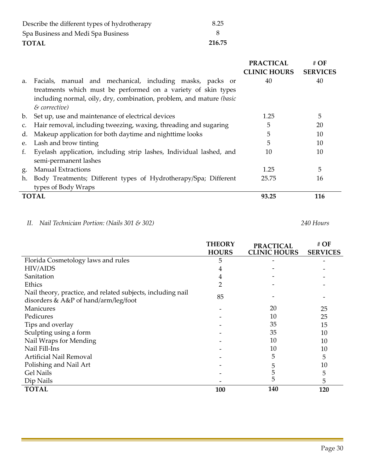| TOTAL                                        | 216.75 |
|----------------------------------------------|--------|
| Spa Business and Medi Spa Business           |        |
| Describe the different types of hydrotherapy | 8.25   |

|                |                                                                                                                                                                                                                     | <b>PRACTICAL</b><br><b>CLINIC HOURS</b> | # $\overline{OF}$<br><b>SERVICES</b> |
|----------------|---------------------------------------------------------------------------------------------------------------------------------------------------------------------------------------------------------------------|-----------------------------------------|--------------------------------------|
| a.             | Facials, manual and mechanical, including masks, packs or<br>treatments which must be performed on a variety of skin types<br>including normal, oily, dry, combination, problem, and mature (basic<br>& corrective) | 40                                      | 40                                   |
| b.             | Set up, use and maintenance of electrical devices                                                                                                                                                                   | 1.25                                    | 5                                    |
| $C_{\bullet}$  | Hair removal, including tweezing, waxing, threading and sugaring                                                                                                                                                    | 5                                       | 20                                   |
| d.             | Makeup application for both daytime and nighttime looks                                                                                                                                                             | 5                                       | 10                                   |
| e.             | Lash and brow tinting                                                                                                                                                                                               | 5                                       | 10                                   |
| f.             | Eyelash application, including strip lashes, Individual lashed, and<br>semi-permanent lashes                                                                                                                        | 10                                      | 10                                   |
| g <sub>·</sub> | <b>Manual Extractions</b>                                                                                                                                                                                           | 1.25                                    | 5                                    |
| h.             | Body Treatments; Different types of Hydrotherapy/Spa; Different<br>types of Body Wraps                                                                                                                              | 25.75                                   | 16                                   |
|                | <b>TOTAL</b>                                                                                                                                                                                                        | 93.25                                   | 116                                  |

#### *II. Nail Technician Portion: (Nails 301 & 302) 240 Hours*

Ĺ,

|                                                             | <b>THEORY</b> | <b>PRACTICAL</b>    | $#$ OF          |
|-------------------------------------------------------------|---------------|---------------------|-----------------|
|                                                             | <b>HOURS</b>  | <b>CLINIC HOURS</b> | <b>SERVICES</b> |
| Florida Cosmetology laws and rules                          | 5             |                     |                 |
| <b>HIV/AIDS</b>                                             | 4             |                     |                 |
| Sanitation                                                  | 4             |                     |                 |
| Ethics                                                      | 2             |                     |                 |
| Nail theory, practice, and related subjects, including nail | 85            |                     |                 |
| disorders & $A\&P$ of hand/arm/leg/foot                     |               |                     |                 |
| <b>Manicures</b>                                            |               | 20                  | 25              |
| Pedicures                                                   |               | 10                  | 25              |
| Tips and overlay                                            |               | 35                  | 15              |
| Sculpting using a form                                      |               | 35                  | 10              |
| Nail Wraps for Mending                                      |               | 10                  | 10              |
| Nail Fill-Ins                                               |               | 10                  | 10              |
| Artificial Nail Removal                                     |               | 5                   | 5               |
| Polishing and Nail Art                                      |               | 5                   | 10              |
| <b>Gel Nails</b>                                            |               | 5                   | 5               |
| Dip Nails                                                   |               | 5                   | 5               |
| <b>TOTAL</b>                                                | 100           | 140                 | 120             |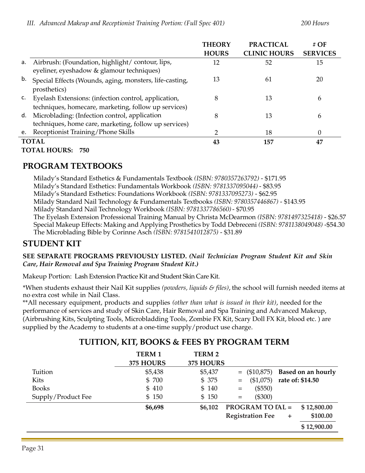|    |                                                                                                                 | <b>THEORY</b> | <b>PRACTICAL</b>    | # $OF$          |
|----|-----------------------------------------------------------------------------------------------------------------|---------------|---------------------|-----------------|
|    |                                                                                                                 | <b>HOURS</b>  | <b>CLINIC HOURS</b> | <b>SERVICES</b> |
| а. | Airbrush: (Foundation, highlight/contour, lips,<br>eyeliner, eyeshadow & glamour techniques)                    | 12            | 52                  | 15              |
| b. | Special Effects (Wounds, aging, monsters, life-casting,<br>prosthetics)                                         | 13            | 61                  | 20              |
|    | c. Eyelash Extensions: (infection control, application,<br>techniques, homecare, marketing, follow up services) | 8             | 13                  | 6               |
|    | d. Microblading: (Infection control, application<br>techniques, home care, marketing, follow up services)       | 8             | 13                  | 6               |
|    | e. Receptionist Training/Phone Skills                                                                           | າ             | 18                  | 0               |
|    | <b>TOTAL</b>                                                                                                    | 43            | 157                 | 47              |
|    | <b>TOTAL HOURS: 750</b>                                                                                         |               |                     |                 |

## **PROGRAM TEXTBOOKS**

Milady's Standard Esthetics & Fundamentals Textbook *(ISBN: 9780357263792)* - \$171.95 Milady's Standard Esthetics: Fundamentals Workbook *(ISBN: 9781337095044)* - \$83.95 Milady's Standard Esthetics: Foundations Workbook *(ISBN: 9781337095273)* - \$62.95 Milady Standard Nail Technology & Fundamentals Textbooks *(ISBN: 9780357446867)* - \$143.95 Milady Standard Nail Technology Workbook *(ISBN: 9781337786560)*- \$70.95 The Eyelash Extension Professional Training Manual by Christa McDearmon *(ISBN: 9781497325418)* - \$26.57 Special Makeup Effects: Making and Applying Prosthetics by Todd Debreceni *(ISBN: 9781138049048)* -\$54.30 The Microblading Bible by Corinne Asch *(ISBN: 9781541012875)* - \$31.89

## **STUDENT KIT**

**SEE SEPARATE PROGRAMS PREVIOUSLY LISTED.** *(Nail Technician Program Student Kit and Skin Care, Hair Removal and Spa Training Program Student Kit.)*

Makeup Portion: Lash Extension Practice Kit and Student Skin Care Kit.

\*When students exhaust their Nail Kit supplies *(powders, liquids & files)*, the school will furnish needed items at no extra cost while in Nail Class.

\*\*All necessary equipment, products and supplies *(other than what is issued in their kit)*, needed for the performance of services and study of Skin Care, Hair Removal and Spa Training and Advanced Makeup, (Airbrushing Kits, Sculpting Tools, Microbladding Tools, Zombie FX Kit, Scary Doll FX Kit, blood etc. ) are supplied by the Academy to students at a one-time supply/product use charge.

## **TUITION, KIT, BOOKS & FEES BY PROGRAM TERM**

|                    | <b>TERM1</b> | <b>TERM 2</b> |                                                  |
|--------------------|--------------|---------------|--------------------------------------------------|
|                    | 375 HOURS    | 375 HOURS     |                                                  |
| Tuition            | \$5,438      | \$5,437       | Based on an hourly<br>$=$ (\$10,875)             |
| Kits               | \$700        | \$375         | rate of: \$14.50<br>(\$1,075)<br>$=$             |
| <b>Books</b>       | \$ 410       | \$140         | $(\$550)$<br>$=$                                 |
| Supply/Product Fee | \$150        | \$150         | $(\$300)$<br>$=$                                 |
|                    | \$6,698      | \$6,102       | <b>PROGRAM TO TAL =</b><br>\$12,800.00           |
|                    |              |               | \$100.00<br><b>Registration Fee</b><br>$\ddot{}$ |
|                    |              |               | \$12,900.00                                      |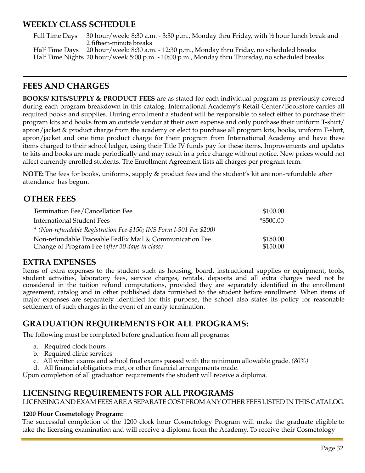#### **WEEKLY CLASS SCHEDULE**

Full Time Days 30 hour/week: 8:30 a.m. - 3:30 p.m., Monday thru Friday, with 1/2 hour lunch break and 2 fifteen-minute breaks

Half Time Days 20 hour/week: 8:30 a.m. - 12:30 p.m., Monday thru Friday, no scheduled breaks Half Time Nights 20 hour/week 5:00 p.m. - 10:00 p.m., Monday thru Thursday, no scheduled breaks

#### **FEES AND CHARGES**

**BOOKS/ KITS/SUPPLY & PRODUCT FEES** are as stated for each individual program as previously covered during each program breakdown in this catalog. International Academy's Retail Center/Bookstore carries all required books and supplies. During enrollment a student will be responsible to select either to purchase their program kits and books from an outside vendor at their own expense and only purchase their uniform T-shirt/ apron/jacket & product charge from the academy or elect to purchase all program kits, books, uniform T-shirt, apron/jacket and one time product charge for their program from International Academy and have these items charged to their school ledger, using their Title IV funds pay for these items. Improvements and updates to kits and books are made periodically and may result in a price change without notice. New prices would not affect currently enrolled students. The Enrollment Agreement lists all charges per program term.

**NOTE:** The fees for books, uniforms, supply & product fees and the student's kit are non-refundable after attendance has begun.

#### **OTHER FEES**

| Termination Fee/Cancellation Fee                                    | \$100.00  |
|---------------------------------------------------------------------|-----------|
| <b>International Student Fees</b>                                   | *\$500.00 |
| * (Non-refundable Registration Fee-\$150; INS Form I-901 Fee \$200) |           |
| Non-refundable Traceable FedEx Mail & Communication Fee             | \$150.00  |
| Change of Program Fee (after 30 days in class)                      | \$150.00  |

#### **EXTRA EXPENSES**

Items of extra expenses to the student such as housing, board, instructional supplies or equipment, tools, student activities, laboratory fees, service charges, rentals, deposits and all extra charges need not be considered in the tuition refund computations, provided they are separately identified in the enrollment agreement, catalog and in other published data furnished to the student before enrollment. When items of major expenses are separately identified for this purpose, the school also states its policy for reasonable settlement of such charges in the event of an early termination.

## **GRADUATION REQUIREMENTS FOR ALL PROGRAMS:**

The following must be completed before graduation from all programs:

- a. Required clock hours
- b. Required clinic services
- c. All written exams and school final exams passed with the minimum allowable grade. *(80%)*
- d. All financial obligations met, or other financial arrangements made.

Upon completion of all graduation requirements the student will receive a diploma.

#### **LICENSING REQUIREMENTS FOR ALL PROGRAMS**

LICENSINGAND EXAM FEESAREASEPARATE COST FROMANYOTHERFEES LISTED IN THIS CATALOG.

#### **1200 Hour Cosmetology Program:**

The successful completion of the 1200 clock hour Cosmetology Program will make the graduate eligible to take the licensing examination and will receive a diploma from the Academy. To receive their Cosmetology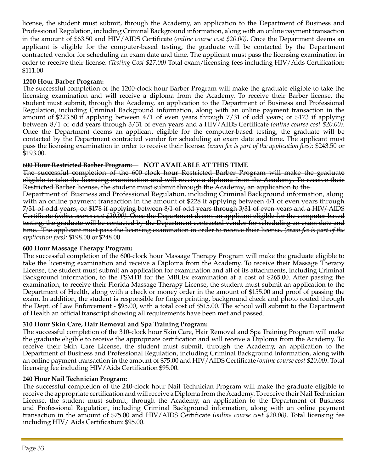license, the student must submit, through the Academy, an application to the Department of Business and Professional Regulation, including Criminal Background information, along with an online payment transaction in the amount of \$63.50 and HIV/AIDS Certificate *(online course cost \$20.00)*. Once the Department deems an applicant is eligible for the computer-based testing, the graduate will be contacted by the Department contracted vendor for scheduling an exam date and time. The applicant must pass the licensing examination in order to receive their license. *(Testing Cost \$27.00)* Total exam/licensing fees including HIV/Aids Certification: \$111.00

#### **1200 Hour Barber Program:**

The successful completion of the 1200-clock hour Barber Program will make the graduate eligible to take the licensing examination and will receive a diploma from the Academy. To receive their Barber license, the student must submit, through the Academy, an application to the Department of Business and Professional Regulation, including Criminal Background information, along with an online payment transaction in the amount of \$223.50 if applying between 4/1 of even years through 7/31 of odd years; or \$173 if applying between 8/1 of odd years through 3/31 of even years and a HIV/AIDS Certificate *(online course cost \$20.00)*. Once the Department deems an applicant eligible for the computer-based testing, the graduate will be contacted by the Department contracted vendor for scheduling an exam date and time. The applicant must pass the licensing examination in order to receive their license. *(exam fee is part of the application fees):* \$243.50 or \$193.00.

#### **600 Hour Restricted Barber Program: NOT AVAILABLE AT THIS TIME**

The successful completion of the 600 clock hour Restricted Barber Program will make the graduate eligible to take the licensing examination and will receive a diploma from the Academy. To receive their Restricted Barber license, the student must submit through the Academy, an application to the

Department of Business and Professional Regulation, including Criminal Background information, along with an online payment transaction in the amount of \$228 if applying between 4/1 of even years through 7/31 of odd years; or \$178 if applying between 8/1 of odd years through 3/31 of even years and a HIV/ AIDS Certificate (*online course cost \$20.00).* Once the Department deems an applicant eligible for the computer-based testing, the graduate will be contacted by the Department contracted vendor for scheduling an exam date and time. The applicant must pass the licensing examination in order to receive their license. *(exam fee is part of the application fees):* \$198.00 or \$248.00.

#### **600 Hour Massage Therapy Program:**

The successful completion of the 600-clock hour Massage Therapy Program will make the graduate eligible to take the licensing examination and receive a Diploma from the Academy. To receive their Massage Therapy License, the student must submit an application for examination and all of its attachments, including Criminal Background information, to the FSMTB for the MBLEx examination at a cost of \$265.00. After passing the examination, to receive their Florida Massage Therapy License, the student must submit an application to the Department of Health, along with a check or money order in the amount of \$155.00 and proof of passing the exam. In addition, the student is responsible for finger printing, background check and photo routed through the Dept. of Law Enforcement - \$95.00, with a total cost of \$515.00. The school will submit to the Department of Health an official transcript showing all requirements have been met and passed.

#### **310 Hour Skin Care, Hair Removal and Spa Training Program:**

The successful completion of the 310-clock hour Skin Care, Hair Removal and Spa Training Program will make the graduate eligible to receive the appropriate certification and will receive a Diploma from the Academy. To receive their Skin Care License, the student must submit, through the Academy, an application to the Department of Business and Professional Regulation, including Criminal Background information, along with an online payment transaction in the amount of \$75.00 and HIV/AIDS Certificate *(online course cost \$20.00)*. Total licensing fee including HIV/Aids Certification \$95.00.

#### **240 Hour Nail Technician Program:**

The successful completion of the 240-clock hour Nail Technician Program will make the graduate eligible to receive the appropriate certification and will receive a Diploma from the Academy. To receive their Nail Technician License, the student must submit, through the Academy, an application to the Department of Business and Professional Regulation, including Criminal Background information, along with an online payment transaction in the amount of \$75.00 and HIV/AIDS Certificate *(online course cost \$20.00)*. Total licensing fee including HIV/ Aids Certification: \$95.00.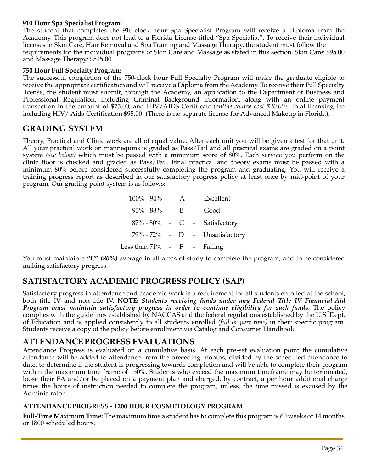#### **910 Hour Spa Specialist Program:**

The student that completes the 910-clock hour Spa Specialist Program will receive a Diploma from the Academy. This program does not lead to a Florida License titled "Spa Specialist". To receive their individual licenses in Skin Care, Hair Removal and Spa Training and Massage Therapy, the student must follow the requirements for the individual programs of Skin Care and Massage as stated in this section. Skin Care: \$95.00 and Massage Therapy: \$515.00.

#### **750 Hour Full Specialty Program:**

The successful completion of the 750-clock hour Full Specialty Program will make the graduate eligible to receive the appropriate certification and will receive a Diploma from the Academy. To receive their Full Specialty license, the student must submit, through the Academy, an application to the Department of Business and Professional Regulation, including Criminal Background information, along with an online payment transaction in the amount of \$75.00, and HIV/AIDS Certificate *(online course cost \$20.00)*. Total licensing fee including HIV/ Aids Certification \$95.00. (There is no separate license for Advanced Makeup in Florida).

## **GRADING SYSTEM**

Theory, Practical and Clinic work are all of equal value. After each unit you will be given a test for that unit. All your practical work on mannequins is graded as Pass/Fail and all practical exams are graded on a point system *(see below)* which must be passed with a minimum score of 80%. Each service you perform on the clinic floor is checked and graded as Pass/Fail. Final practical and theory exams must be passed with a minimum 80% before considered successfully completing the program and graduating. You will receive a training progress report as described in our satisfactory progress policy at least once by mid-point of your program. Our grading point system is as follows:

| 100% - 94% - A - Excellent     |  |                                  |
|--------------------------------|--|----------------------------------|
| $93\% - 88\% - B - Good$       |  |                                  |
|                                |  | $87\% - 80\%$ - C - Satisfactory |
|                                |  | 79% - 72% - D - Unsatisfactory   |
| Less than $71\%$ - F - Failing |  |                                  |

You must maintain a **"C"** *(80%)* average in all areas of study to complete the program, and to be considered making satisfactory progress.

## **SATISFACTORY ACADEMIC PROGRESS POLICY (SAP)**

Satisfactory progress in attendance and academic work is a requirement for all students enrolled at the school, both title IV and non-title IV. **NOTE:** *Students receiving funds under any Federal Title IV Financial Aid Program must maintain satisfactory progress in order to continue eligibility for such funds.* The policy complies with the guidelines established by NACCAS and the federal regulations established by the U.S. Dept. of Education and is applied consistently to all students enrolled *(full or part time)* in their specific program. Students receive a copy of the policy before enrollment via Catalog and Consumer Handbook.

#### **ATTENDANCE PROGRESS EVALUATIONS**

Attendance Progress is evaluated on a cumulative basis. At each pre-set evaluation point the cumulative attendance will be added to attendance from the preceding months, divided by the scheduled attendance to date, to determine if the student is progressing towards completion and will be able to complete their program within the maximum time frame of 150%. Students who exceed the maximum timeframe may be terminated, loose their FA and/or be placed on a payment plan and charged, by contract, a per hour additional charge times the hours of instruction needed to complete the program, unless, the time missed is excused by the Administrator.

#### **ATTENDANCE PROGRESS - 1200 HOUR COSMETOLOGY PROGRAM**

**Full-Time Maximum Time:** The maximum time a student has to complete this program is 60 weeks or 14 months or 1800 scheduled hours.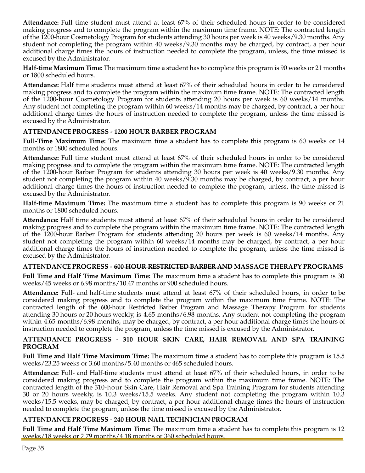**Attendance:** Full time student must attend at least 67% of their scheduled hours in order to be considered making progress and to complete the program within the maximum time frame. NOTE: The contracted length of the 1200-hour Cosmetology Program for students attending 30 hours per week is 40 weeks/9.30 months. Any student not completing the program within 40 weeks/9.30 months may be charged, by contract, a per hour additional charge times the hours of instruction needed to complete the program, unless, the time missed is excused by the Administrator.

**Half-time Maximum Time:** The maximum time a student has to complete this program is 90 weeks or 21 months or 1800 scheduled hours.

**Attendance:** Half time students must attend at least 67% of their scheduled hours in order to be considered making progress and to complete the program within the maximum time frame. NOTE: The contracted length of the 1200-hour Cosmetology Program for students attending 20 hours per week is 60 weeks/14 months. Any student not completing the program within 60 weeks/14 months may be charged, by contract, a per hour additional charge times the hours of instruction needed to complete the program, unless the time missed is excused by the Administrator.

#### **ATTENDANCE PROGRESS - 1200 HOUR BARBER PROGRAM**

**Full-Time Maximum Time:** The maximum time a student has to complete this program is 60 weeks or 14 months or 1800 scheduled hours.

**Attendance:** Full time student must attend at least 67% of their scheduled hours in order to be considered making progress and to complete the program within the maximum time frame. NOTE: The contracted length of the 1200-hour Barber Program for students attending 30 hours per week is 40 weeks/9.30 months. Any student not completing the program within 40 weeks/9.30 months may be charged, by contract, a per hour additional charge times the hours of instruction needed to complete the program, unless, the time missed is excused by the Administrator.

**Half-time Maximum Time:** The maximum time a student has to complete this program is 90 weeks or 21 months or 1800 scheduled hours.

**Attendance:** Half time students must attend at least 67% of their scheduled hours in order to be considered making progress and to complete the program within the maximum time frame. NOTE: The contracted length of the 1200-hour Barber Program for students attending 20 hours per week is 60 weeks/14 months. Any student not completing the program within 60 weeks/14 months may be charged, by contract, a per hour additional charge times the hours of instruction needed to complete the program, unless the time missed is excused by the Administrator.

#### **ATTENDANCE PROGRESS - 600 HOUR RESTRICTED BARBER AND MASSAGE THERAPY PROGRAMS**

**Full Time and Half Time Maximum Time:** The maximum time a student has to complete this program is 30 weeks/45 weeks or 6.98 months/10.47 months or 900 scheduled hours.

**Attendance:** Full- and half-time students must attend at least 67% of their scheduled hours, in order to be considered making progress and to complete the program within the maximum time frame. NOTE: The contracted length of the 600-hour Restricted Barber Program and Massage Therapy Program for students attending 30 hours or 20 hours weekly, is 4.65 months/6.98 months. Any student not completing the program within 4.65 months/6.98 months, may be charged, by contract, a per hour additional charge times the hours of instruction needed to complete the program, unless the time missed is excused by the Administrator.

#### **ATTENDANCE PROGRESS - 310 HOUR SKIN CARE, HAIR REMOVAL AND SPA TRAINING PROGRAM**

**Full Time and Half Time Maximum Time:** The maximum time a student has to complete this program is 15.5 weeks/23.25 weeks or 3.60 months/5.40 months or 465 scheduled hours.

**Attendance:** Full- and Half-time students must attend at least 67% of their scheduled hours, in order to be considered making progress and to complete the program within the maximum time frame. NOTE: The contracted length of the 310-hour Skin Care, Hair Removal and Spa Training Program for students attending 30 or 20 hours weekly, is 10.3 weeks/15.5 weeks. Any student not completing the program within 10.3 weeks/15.5 weeks, may be charged, by contract, a per hour additional charge times the hours of instruction needed to complete the program, unless the time missed is excused by the Administrator.

#### **ATTENDANCE PROGRESS - 240 HOUR NAIL TECHNICIAN PROGRAM**

**Full Time and Half Time Maximum Time:** The maximum time a student has to complete this program is 12 weeks/18 weeks or 2.79 months/4.18 months or 360 scheduled hours.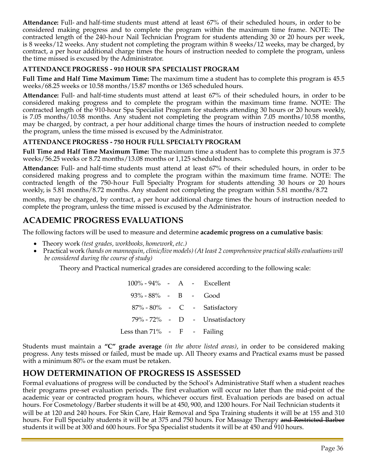**Attendance:** Full- and half-time students must attend at least 67% of their scheduled hours, in order to be considered making progress and to complete the program within the maximum time frame. NOTE: The contracted length of the 240-hour Nail Technician Program for students attending 30 or 20 hours per week, is 8 weeks/12 weeks. Any student not completing the program within 8 weeks/12 weeks, may be charged, by contract, a per hour additional charge times the hours of instruction needed to complete the program, unless the time missed is excused by the Administrator.

#### **ATTENDANCE PROGRESS - 910 HOUR SPA SPECIALIST PROGRAM**

**Full Time and Half Time Maximum Time:** The maximum time a student has to complete this program is 45.5 weeks/68.25 weeks or 10.58 months/15.87 months or 1365 scheduled hours.

**Attendance:** Full- and half-time students must attend at least 67% of their scheduled hours, in order to be considered making progress and to complete the program within the maximum time frame. NOTE: The contracted length of the 910-hour Spa Specialist Program for students attending 30 hours or 20 hours weekly, is 7.05 months/10.58 months. Any student not completing the program within 7.05 months/10.58 months, may be charged, by contract, a per hour additional charge times the hours of instruction needed to complete the program, unless the time missed is excused by the Administrator.

#### **ATTENDANCE PROGRESS - 750 HOUR FULL SPECIALTY PROGRAM**

**Full Time and Half Time Maximum Time:** The maximum time a student has to complete this program is 37.5 weeks/56.25 weeks or 8.72 months/13.08 months or 1,125 scheduled hours.

**Attendance:** Full- and half-time students must attend at least 67% of their scheduled hours, in order to be considered making progress and to complete the program within the maximum time frame. NOTE: The contracted length of the 750-hour Full Specialty Program for students attending 30 hours or 20 hours weekly, is 5.81 months/8.72 months. Any student not completing the program within 5.81 months/8.72

months, may be charged, by contract, a per hour additional charge times the hours of instruction needed to complete the program, unless the time missed is excused by the Administrator.

## **ACADEMIC PROGRESS EVALUATIONS**

The following factors will be used to measure and determine **academic progress on a cumulative basis**:

- Theory work *(test grades, workbooks, homework, etc.)*
- Practical work *(hands on mannequin, clinic/livemodels) (At least 2 comprehensive practicalskillsevaluations will be considered during the course of study)*

Theory and Practical numerical grades are considered according to the following scale:

100% - 94% - A - Excellent 93% - 88% - B - Good 87% - 80% - C - Satisfactory 79% - 72% - D - Unsatisfactory Less than  $71\%$  - F - Failing

Students must maintain a **"C" grade average** *(in the above listed areas)*, in order to be considered making progress. Any tests missed or failed, must be made up. All Theory exams and Practical exams must be passed with a minimum 80% or the exam must be retaken.

## **HOW DETERMINATION OF PROGRESS IS ASSESSED**

Formal evaluations of progress will be conducted by the School's Administrative Staff when a student reaches their programs pre-set evaluation periods. The first evaluation will occur no later than the mid-point of the academic year or contracted program hours, whichever occurs first. Evaluation periods are based on actual hours. For Cosmetology/Barber students it will be at 450, 900, and 1200 hours. For Nail Technician students it will be at 120 and 240 hours. For Skin Care, Hair Removal and Spa Training students it will be at 155 and 310 hours. For Full Specialty students it will be at 375 and 750 hours. For Massage Therapy and Restricted Barber students it will be at 300 and 600 hours. For Spa Specialist students it will be at 450 and 910 hours.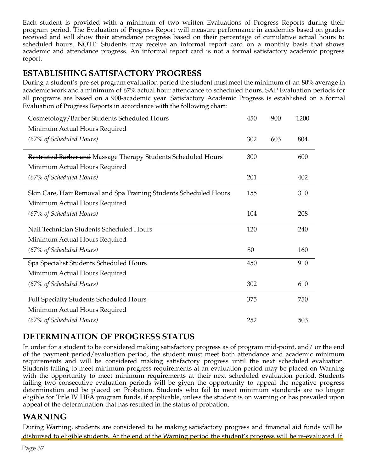Each student is provided with a minimum of two written Evaluations of Progress Reports during their program period. The Evaluation of Progress Report will measure performance in academics based on grades received and will show their attendance progress based on their percentage of cumulative actual hours to scheduled hours. NOTE: Students may receive an informal report card on a monthly basis that shows academic and attendance progress. An informal report card is not a formal satisfactory academic progress report.

## **ESTABLISHING SATISFACTORY PROGRESS**

During a student's pre-set program evaluation period the student must meet the minimum of an 80% average in academic work and a minimum of 67% actual hour attendance to scheduled hours. SAP Evaluation periods for all programs are based on a 900-academic year. Satisfactory Academic Progress is established on a formal Evaluation of Progress Reports in accordance with the following chart:

| Cosmetology/Barber Students Scheduled Hours                       | 450 | 900 | 1200 |
|-------------------------------------------------------------------|-----|-----|------|
| Minimum Actual Hours Required                                     |     |     |      |
| (67% of Scheduled Hours)                                          | 302 | 603 | 804  |
| Restricted Barber and Massage Therapy Students Scheduled Hours    | 300 |     | 600  |
| Minimum Actual Hours Required                                     |     |     |      |
| (67% of Scheduled Hours)                                          | 201 |     | 402  |
| Skin Care, Hair Removal and Spa Training Students Scheduled Hours | 155 |     | 310  |
| Minimum Actual Hours Required                                     |     |     |      |
| (67% of Scheduled Hours)                                          | 104 |     | 208  |
| Nail Technician Students Scheduled Hours                          | 120 |     | 240  |
| Minimum Actual Hours Required                                     |     |     |      |
| (67% of Scheduled Hours)                                          | 80  |     | 160  |
| Spa Specialist Students Scheduled Hours                           | 450 |     | 910  |
| Minimum Actual Hours Required                                     |     |     |      |
| (67% of Scheduled Hours)                                          | 302 |     | 610  |
| Full Specialty Students Scheduled Hours                           | 375 |     | 750  |
| Minimum Actual Hours Required                                     |     |     |      |
| (67% of Scheduled Hours)                                          | 252 |     | 503  |

## **DETERMINATION OF PROGRESS STATUS**

In order for a student to be considered making satisfactory progress as of program mid-point, and/ or the end of the payment period/evaluation period, the student must meet both attendance and academic minimum requirements and will be considered making satisfactory progress until the next scheduled evaluation. Students failing to meet minimum progress requirements at an evaluation period may be placed on Warning with the opportunity to meet minimum requirements at their next scheduled evaluation period. Students failing two consecutive evaluation periods will be given the opportunity to appeal the negative progress determination and be placed on Probation. Students who fail to meet minimum standards are no longer eligible for Title IV HEA program funds, if applicable, unless the student is on warning or has prevailed upon appeal of the determination that has resulted in the status of probation.

## **WARNING**

During Warning, students are considered to be making satisfactory progress and financial aid funds will be disbursed to eligible students. At the end of the Warning period the student's progress will be re-evaluated. If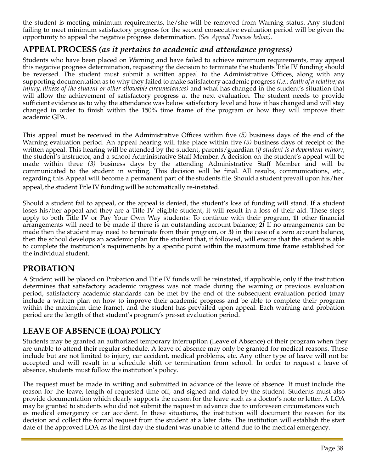the student is meeting minimum requirements, he/she will be removed from Warning status. Any student failing to meet minimum satisfactory progress for the second consecutive evaluation period will be given the opportunity to appeal the negative progress determination. *(See Appeal Process below).* 

#### **APPEAL PROCESS** *(as it pertains to academic and attendance progress)*

Students who have been placed on Warning and have failed to achieve minimum requirements, may appeal this negative progress determination, requesting the decision to terminate the students Title IV funding should be reversed. The student must submit a written appeal to the Administrative Offices, along with any supporting documentation as to why they failed to make satisfactory academic progress *(i.e.; death of a relative; an injury, illness of the student or other allowable circumstances)* and what has changed in the student's situation that will allow the achievement of satisfactory progress at the next evaluation. The student needs to provide sufficient evidence as to why the attendance was below satisfactory level and how it has changed and will stay changed in order to finish within the 150% time frame of the program or how they will improve their academic GPA.

This appeal must be received in the Administrative Offices within five *(5)* business days of the end of the Warning evaluation period. An appeal hearing will take place within five *(5)* business days of receipt of the written appeal. This hearing will be attended by the student, parents/guardian *(if student is a dependent minor)*, the student's instructor, and a school Administrative Staff Member. A decision on the student's appeal will be made within three *(3)* business days by the attending Administrative Staff Member and will be communicated to the student in writing. This decision will be final. All results, communications, etc., regarding this Appeal will become a permanent part of the students file. Should a student prevail upon his/her appeal, the student Title IV funding will be automatically re-instated.

Should a student fail to appeal, or the appeal is denied, the student's loss of funding will stand. If a student loses his/her appeal and they are a Title IV eligible student, it will result in a loss of their aid. These steps apply to both Title IV or Pay Your Own Way students: To continue with their program, **1)** other financial arrangements will need to be made if there is an outstanding account balance; **2)** If no arrangements can be made then the student may need to terminate from their program, or **3)** in the case of a zero account balance, then the school develops an academic plan for the student that, if followed, will ensure that the student is able to complete the institution's requirements by a specific point within the maximum time frame established for the individual student.

## **PROBATION**

A Student will be placed on Probation and Title IV funds will be reinstated, if applicable, only if the institution determines that satisfactory academic progress was not made during the warning or previous evaluation period, satisfactory academic standards can be met by the end of the subsequent evaluation period (may include a written plan on how to improve their academic progress and be able to complete their program within the maximum time frame), and the student has prevailed upon appeal. Each warning and probation period are the length of that student's program's pre-set evaluation period.

## **LEAVE OF ABSENCE (LOA) POLICY**

Students may be granted an authorized temporary interruption (Leave of Absence) of their program when they are unable to attend their regular schedule. A leave of absence may only be granted for medical reasons. These include but are not limited to injury, car accident, medical problems, etc. Any other type of leave will not be accepted and will result in a schedule shift or termination from school. In order to request a leave of absence, students must follow the institution's policy.

The request must be made in writing and submitted in advance of the leave of absence. It must include the reason for the leave, length of requested time off, and signed and dated by the student. Students must also provide documentation which clearly supports the reason for the leave such as a doctor's note or letter. A LOA may be granted to students who did not submit the request in advance due to unforeseen circumstances such as medical emergency or car accident. In these situations, the institution will document the reason for its decision and collect the formal request from the student at a later date. The institution will establish the start date of the approved LOA as the first day the student was unable to attend due to the medical emergency.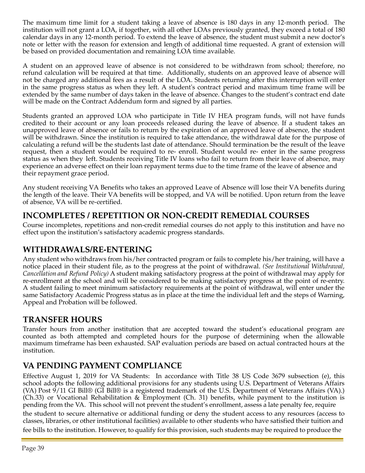The maximum time limit for a student taking a leave of absence is 180 days in any 12-month period. The institution will not grant a LOA, if together, with all other LOAs previously granted, they exceed a total of 180 calendar days in any 12-month period. To extend the leave of absence, the student must submit a new doctor's note or letter with the reason for extension and length of additional time requested. A grant of extension will be based on provided documentation and remaining LOA time available.

A student on an approved leave of absence is not considered to be withdrawn from school; therefore, no refund calculation will be required at that time. Additionally, students on an approved leave of absence will not be charged any additional fees as a result of the LOA. Students returning after this interruption will enter in the same progress status as when they left. A student's contract period and maximum time frame will be extended by the same number of days taken in the leave of absence. Changes to the student's contract end date will be made on the Contract Addendum form and signed by all parties.

Students granted an approved LOA who participate in Title IV HEA program funds, will not have funds credited to their account or any loan proceeds released during the leave of absence. If a student takes an unapproved leave of absence or fails to return by the expiration of an approved leave of absence, the student will be withdrawn. Since the institution is required to take attendance, the withdrawal date for the purpose of calculating a refund will be the students last date of attendance. Should termination be the result of the leave request, then a student would be required to re- enroll. Student would re- enter in the same progress status as when they left. Students receiving Title IV loans who fail to return from their leave of absence, may experience an adverse effect on their loan repayment terms due to the time frame of the leave of absence and their repayment grace period.

Any student receiving VA Benefits who takes an approved Leave of Absence will lose their VA benefits during the length of the leave. Their VA benefits will be stopped, and VA will be notified. Upon return from the leave of absence, VA will be re-certified.

## **INCOMPLETES / REPETITION OR NON-CREDIT REMEDIAL COURSES**

Course incompletes, repetitions and non-credit remedial courses do not apply to this institution and have no effect upon the institution's satisfactory academic progress standards.

## **WITHDRAWALS/RE-ENTERING**

Any student who withdraws from his/her contracted program or fails to complete his/her training, will have a notice placed in their student file, as to the progress at the point of withdrawal. *(See Institutional Withdrawal, Cancellation and Refund Policy)* A student making satisfactory progress at the point of withdrawal may apply for re-enrollment at the school and will be considered to be making satisfactory progress at the point of re-entry. A student failing to meet minimum satisfactory requirements at the point of withdrawal, will enter under the same Satisfactory Academic Progress status as in place at the time the individual left and the steps of Warning, Appeal and Probation will be followed.

## **TRANSFER HOURS**

Transfer hours from another institution that are accepted toward the student's educational program are counted as both attempted and completed hours for the purpose of determining when the allowable maximum timeframe has been exhausted. SAP evaluation periods are based on actual contracted hours at the institution.

## **VA PENDING PAYMENT COMPLIANCE**

Effective August 1, 2019 for VA Students: In accordance with Title 38 US Code 3679 subsection (e), this school adopts the following additional provisions for any students using U.S. Department of Veterans Affairs (VA) Post  $9/11$  GI Bill® (GI Bill® is a registered trademark of the U.S. Department of Veterans Affairs (VA).) (Ch.33) or Vocational Rehabilitation  $\&$  Employment (Ch. 31) benefits, while payment to the institution is pending from the VA. This school will not prevent the student's enrollment, assess a late penalty fee, require

the student to secure alternative or additional funding or deny the student access to any resources (access to classes, libraries, or other institutional facilities) available to other students who have satisfied their tuition and fee bills to the institution. However, to qualify for this provision, such students may be required to produce the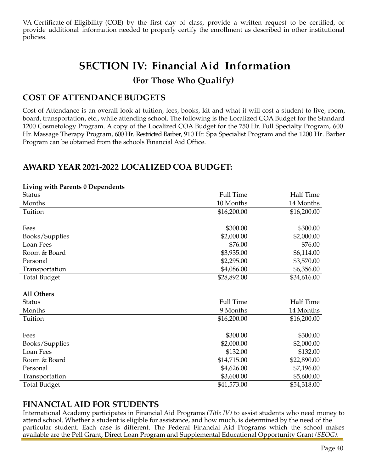VA Certificate of Eligibility (COE) by the first day of class, provide a written request to be certified, or provide additional information needed to properly certify the enrollment as described in other institutional policies.

# **SECTION IV: Financial Aid Information**

#### **(For Those Who Qualify)**

#### **COST OF ATTENDANCEBUDGETS**

Cost of Attendance is an overall look at tuition, fees, books, kit and what it will cost a student to live, room, board, transportation, etc., while attending school. The following is the Localized COA Budget for the Standard 1200 Cosmetology Program. A copy of the Localized COA Budget for the 750 Hr. Full Specialty Program, 600 Hr. Massage Therapy Program, 600 Hr. Restricted Barber, 910 Hr. Spa Specialist Program and the 1200 Hr. Barber Program can be obtained from the schools Financial Aid Office.

## **AWARD YEAR 2021-2022 LOCALIZED COA BUDGET:**

#### **Living with Parents 0 Dependents**

| <b>Status</b>       | <b>Full Time</b> | <b>Half Time</b> |
|---------------------|------------------|------------------|
| Months              | 10 Months        | 14 Months        |
| Tuition             | \$16,200.00      | \$16,200.00      |
|                     |                  |                  |
| Fees                | \$300.00         | \$300.00         |
| Books/Supplies      | \$2,000.00       | \$2,000.00       |
| Loan Fees           | \$76.00          | \$76.00          |
| Room & Board        | \$3,935.00       | \$6,114.00       |
| Personal            | \$2,295.00       | \$3,570.00       |
| Transportation      | \$4,086.00       | \$6,356.00       |
| <b>Total Budget</b> | \$28,892.00      | \$34,616.00      |
|                     |                  |                  |
| <b>All Others</b>   |                  |                  |
| <b>Status</b>       | <b>Full Time</b> | Half Time        |
| Months              | 9 Months         | 14 Months        |
| Tuition             | \$16,200.00      | \$16,200.00      |
|                     |                  |                  |
| Fees                | \$300.00         | \$300.00         |
| Books/Supplies      | \$2,000.00       | \$2,000.00       |
| Loan Fees           | \$132.00         | \$132.00         |
| Room & Board        | \$14,715.00      | \$22,890.00      |
| Personal            | \$4,626.00       | \$7,196.00       |
| Transportation      | \$3,600.00       | \$5,600.00       |
| <b>Total Budget</b> | \$41,573.00      | \$54,318.00      |

#### **FINANCIAL AID FOR STUDENTS**

International Academy participates in Financial Aid Programs *(Title IV)* to assist students who need money to attend school. Whether a student is eligible for assistance, and how much, is determined by the need of the particular student. Each case is different. The Federal Financial Aid Programs which the school makes available are the Pell Grant, Direct Loan Program and Supplemental Educational Opportunity Grant *(SEOG)*.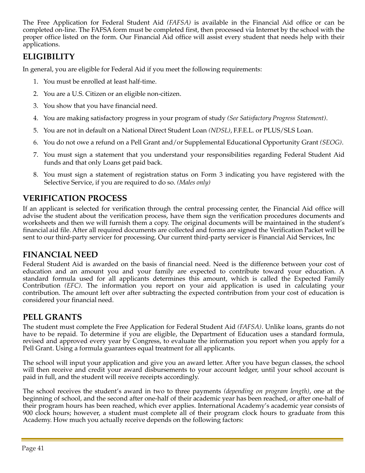The Free Application for Federal Student Aid *(FAFSA)* is available in the Financial Aid office or can be completed on-line. The FAFSA form must be completed first, then processed via Internet by the school with the proper office listed on the form. Our Financial Aid office will assist every student that needs help with their applications.

## **ELIGIBILITY**

In general, you are eligible for Federal Aid if you meet the following requirements:

- 1. You must be enrolled at least half-time.
- 2. You are a U.S. Citizen or an eligible non-citizen.
- 3. You show that you have financial need.
- 4. You are making satisfactory progress in your program of study *(See Satisfactory Progress Statement)*.
- 5. You are not in default on a National Direct Student Loan *(NDSL)*, F.F.E.L. or PLUS/SLS Loan.
- 6. You do not owe a refund on a Pell Grant and/or Supplemental Educational Opportunity Grant *(SEOG)*.
- 7. You must sign a statement that you understand your responsibilities regarding Federal Student Aid funds and that only Loans get paid back.
- 8. You must sign a statement of registration status on Form 3 indicating you have registered with the Selective Service, if you are required to do so. *(Males only)*

## **VERIFICATION PROCESS**

If an applicant is selected for verification through the central processing center, the Financial Aid office will advise the student about the verification process, have them sign the verification procedures documents and worksheets and then we will furnish them a copy. The original documents will be maintained in the student's financial aid file. After all required documents are collected and forms are signed the Verification Packet will be sent to our third-party servicer for processing. Our current third-party servicer is Financial Aid Services, Inc

## **FINANCIAL NEED**

Federal Student Aid is awarded on the basis of financial need. Need is the difference between your cost of education and an amount you and your family are expected to contribute toward your education. A standard formula used for all applicants determines this amount, which is called the Expected Family Contribution *(EFC)*. The information you report on your aid application is used in calculating your contribution. The amount left over after subtracting the expected contribution from your cost of education is considered your financial need.

## **PELL GRANTS**

The student must complete the Free Application for Federal Student Aid *(FAFSA)*. Unlike loans, grants do not have to be repaid. To determine if you are eligible, the Department of Education uses a standard formula, revised and approved every year by Congress, to evaluate the information you report when you apply for a Pell Grant. Using a formula guarantees equal treatment for all applicants.

The school will input your application and give you an award letter. After you have begun classes, the school will then receive and credit your award disbursements to your account ledger, until your school account is paid in full, and the student will receive receipts accordingly.

The school receives the student's award in two to three payments *(depending on program length)*, one at the beginning of school, and the second after one-half of their academic year has been reached, or after one-half of their program hours has been reached, which ever applies. International Academy's academic year consists of 900 clock hours; however, a student must complete all of their program clock hours to graduate from this Academy. How much you actually receive depends on the following factors: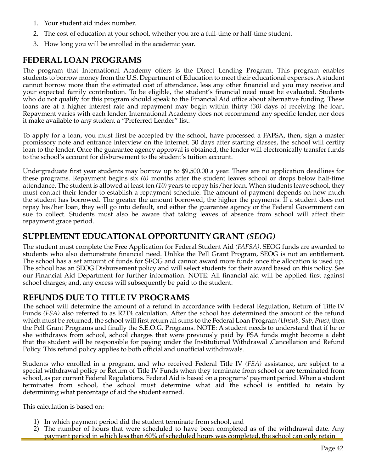- 1. Your student aid index number.
- 2. The cost of education at your school, whether you are a full-time or half-time student.
- 3. How long you will be enrolled in the academic year.

## **FEDERAL LOAN PROGRAMS**

The program that International Academy offers is the Direct Lending Program. This program enables students to borrow money from the U.S. Department of Education to meet their educational expenses. A student cannot borrow more than the estimated cost of attendance, less any other financial aid you may receive and your expected family contribution. To be eligible, the student's financial need must be evaluated. Students who do not qualify for this program should speak to the Financial Aid office about alternative funding. These loans are at a higher interest rate and repayment may begin within thirty *(30)* days of receiving the loan. Repayment varies with each lender. International Academy does not recommend any specific lender, nor does it make available to any student a "Preferred Lender" list.

To apply for a loan, you must first be accepted by the school, have processed a FAFSA, then, sign a master promissory note and entrance interview on the internet. 30 days after starting classes, the school will certify loan to the lender. Once the guarantee agency approval is obtained, the lender will electronically transfer funds to the school's account for disbursement to the student's tuition account.

Undergraduate first year students may borrow up to \$9,500.00 a year. There are no application deadlines for these programs. Repayment begins six *(6)* months after the student leaves school or drops below half-time attendance. The student is allowed at least ten *(10)* years to repay his/her loan. When students leave school, they must contact their lender to establish a repayment schedule. The amount of payment depends on how much the student has borrowed. The greater the amount borrowed, the higher the payments. If a student does not repay his/her loan, they will go into default, and either the guarantee agency or the Federal Government can sue to collect. Students must also be aware that taking leaves of absence from school will affect their repayment grace period.

#### **SUPPLEMENT EDUCATIONAL OPPORTUNITY GRANT** *(SEOG)*

The student must complete the Free Application for Federal Student Aid *(FAFSA)*. SEOG funds are awarded to students who also demonstrate financial need. Unlike the Pell Grant Program, SEOG is not an entitlement. The school has a set amount of funds for SEOG and cannot award more funds once the allocation is used up. The school has an SEOG Disbursement policy and will select students for their award based on this policy. See our Financial Aid Department for further information. NOTE: All financial aid will be applied first against school charges; and, any excess will subsequently be paid to the student.

#### **REFUNDS DUE TO TITLE IV PROGRAMS**

The school will determine the amount of a refund in accordance with Federal Regulation, Return of Title IV Funds *(FSA)* also referred to as R2T4 calculation. After the school has determined the amount of the refund which must be returned, the school will first return all sums to the Federal Loan Program *(Unsub, Sub, Plus)*, then the Pell Grant Programs and finally the S.E.O.G. Programs. NOTE: A student needs to understand that if he or she withdraws from school, school charges that were previously paid by FSA funds might become a debt that the student will be responsible for paying under the Institutional Withdrawal ,Cancellation and Refund Policy. This refund policy applies to both official and unofficial withdrawals.

Students who enrolled in a program, and who received Federal Title IV *(FSA)* assistance, are subject to a special withdrawal policy or Return of Title IV Funds when they terminate from school or are terminated from school, as per current Federal Regulations. Federal Aid is based on a programs' payment period. When a student terminates from school, the school must determine what aid the school is entitled to retain by determining what percentage of aid the student earned.

This calculation is based on:

- 1) In which payment period did the student terminate from school, and
- 2) The number of hours that were scheduled to have been completed as of the withdrawal date. Any payment period in which less than 60% of scheduled hours was completed, the school can only retain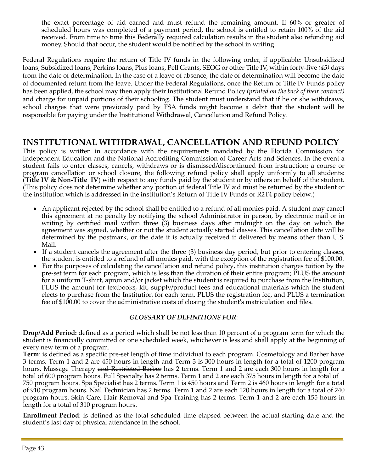the exact percentage of aid earned and must refund the remaining amount. If 60% or greater of scheduled hours was completed of a payment period, the school is entitled to retain 100% of the aid received. From time to time this Federally required calculation results in the student also refunding aid money. Should that occur, the student would be notified by the school in writing.

Federal Regulations require the return of Title IV funds in the following order, if applicable: Unsubsidized loans, Subsidized loans, Perkins loans, Plus loans, Pell Grants, SEOG or other Title IV, within forty-five *(45)* days from the date of determination. In the case of a leave of absence, the date of determination will become the date of documented return from the leave. Under the Federal Regulations, once the Return of Title IV Funds policy has been applied, the school may then apply their Institutional Refund Policy *(printed on the back of their contract)*  and charge for unpaid portions of their schooling. The student must understand that if he or she withdraws, school charges that were previously paid by FSA funds might become a debit that the student will be responsible for paying under the Institutional Withdrawal, Cancellation and Refund Policy.

## **INSTITUTIONAL WITHDRAWAL, CANCELLATION AND REFUND POLICY**

This policy is written in accordance with the requirements mandated by the Florida Commission for Independent Education and the National Accrediting Commission of Career Arts and Sciences. In the event a student fails to enter classes, cancels, withdraws or is dismissed/discontinued from instruction; a course or program cancellation or school closure, the following refund policy shall apply uniformly to all students: (**Title IV & Non-Title IV**) with respect to any funds paid by the student or by others on behalf of the student. (This policy does not determine whether any portion of federal Title IV aid must be returned by the student or the institution which is addressed in the institution's Return of Title IV Funds or R2T4 policy below.)

- An applicant rejected by the school shall be entitled to a refund of all monies paid. A student may cancel this agreement at no penalty by notifying the school Administrator in person, by electronic mail or in writing by certified mail within three (3) business days after midnight on the day on which the agreement was signed, whether or not the student actually started classes. This cancellation date will be determined by the postmark, or the date it is actually received if delivered by means other than U.S. Mail.
- If a student cancels the agreement after the three (3) business day period, but prior to entering classes, the student is entitled to a refund of all monies paid, with the exception of the registration fee of \$100.00.
- For the purposes of calculating the cancellation and refund policy, this institution charges tuition by the pre-set term for each program, which is less than the duration of their entire program; PLUS the amount for a uniform T-shirt, apron and/or jacket which the student is required to purchase from the Institution, PLUS the amount for textbooks, kit, supply/product fees and educational materials which the student elects to purchase from the Institution for each term, PLUS the registration fee, and PLUS a termination fee of \$100.00 to cover the administrative costs of closing the student's matriculation and files.

#### *GLOSSARY OF DEFINITIONS FOR*:

**Drop/Add Period:** defined as a period which shall be not less than 10 percent of a program term for which the student is financially committed or one scheduled week, whichever is less and shall apply at the beginning of every new term of a program.

**Term**: is defined as a specific pre-set length of time individual to each program. Cosmetology and Barber have 3 terms. Term 1 and 2 are 450 hours in length and Term 3 is 300 hours in length for a total of 1200 program hours. Massage Therapy and Restricted Barber has 2 terms. Term 1 and 2 are each 300 hours in length for a total of 600 program hours. Full Specialty has 2 terms. Term 1 and 2 are each 375 hours in length for a total of 750 program hours. Spa Specialist has 2 terms. Term 1 is 450 hours and Term 2 is 460 hours in length for a total of 910 program hours. Nail Technician has 2 terms. Term 1 and 2 are each 120 hours in length for a total of 240 program hours. Skin Care, Hair Removal and Spa Training has 2 terms. Term 1 and 2 are each 155 hours in length for a total of 310 program hours.

**Enrollment Period**: is defined as the total scheduled time elapsed between the actual starting date and the student's last day of physical attendance in the school.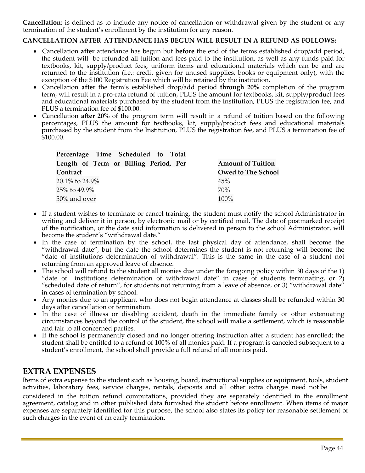**Cancellation**: is defined as to include any notice of cancellation or withdrawal given by the student or any termination of the student's enrollment by the institution for any reason.

#### **CANCELLATION AFTER ATTENDANCE HAS BEGUN WILL RESULT IN A REFUND AS FOLLOWS:**

- Cancellation **after** attendance has begun but **before** the end of the terms established drop/add period, the student will be refunded all tuition and fees paid to the institution, as well as any funds paid for textbooks, kit, supply/product fees, uniform items and educational materials which can be and are returned to the institution (i.e.: credit given for unused supplies, books or equipment only), with the exception of the \$100 Registration Fee which will be retained by the institution.
- Cancellation **after** the term's established drop/add period **through 20%** completion of the program term, will result in a pro-rata refund of tuition, PLUS the amount for textbooks, kit, supply/product fees and educational materials purchased by the student from the Institution, PLUS the registration fee, and PLUS a termination fee of \$100.00.
- Cancellation **after 20%** of the program term will result in a refund of tuition based on the following percentages, PLUS the amount for textbooks, kit, supply/product fees and educational materials purchased by the student from the Institution, PLUS the registration fee, and PLUS a termination fee of \$100.00.

| Percentage Time Scheduled to Total    |                           |
|---------------------------------------|---------------------------|
| Length of Term or Billing Period, Per | <b>Amount of Tuition</b>  |
| Contract                              | <b>Owed to The School</b> |
| 20.1% to 24.9%                        | 45%                       |
| 25% to 49.9%                          | 70%                       |
| 50% and over                          | 100%                      |

- If a student wishes to terminate or cancel training, the student must notify the school Administrator in writing and deliver it in person, by electronic mail or by certified mail. The date of postmarked receipt of the notification, or the date said information is delivered in person to the school Administrator, will become the student's "withdrawal date."
- In the case of termination by the school, the last physical day of attendance, shall become the "withdrawal date", but the date the school determines the student is not returning will become the "date of institutions determination of withdrawal". This is the same in the case of a student not returning from an approved leave of absence.
- The school will refund to the student all monies due under the foregoing policy within 30 days of the 1) "date of institutions determination of withdrawal date" in cases of students terminating, or 2) "scheduled date of return", for students not returning from a leave of absence, or 3) "withdrawal date" in cases of termination by school.
- Any monies due to an applicant who does not begin attendance at classes shall be refunded within 30 days after cancellation or termination.
- In the case of illness or disabling accident, death in the immediate family or other extenuating circumstances beyond the control of the student, the school will make a settlement, which is reasonable and fair to all concerned parties.
- If the school is permanently closed and no longer offering instruction after a student has enrolled; the student shall be entitled to a refund of 100% of all monies paid. If a program is canceled subsequent to a student's enrollment, the school shall provide a full refund of all monies paid.

#### **EXTRA EXPENSES**

Items of extra expense to the student such as housing, board, instructional supplies or equipment, tools, student activities, laboratory fees, service charges, rentals, deposits and all other extra charges need not be

considered in the tuition refund computations, provided they are separately identified in the enrollment agreement, catalog and in other published data furnished the student before enrollment. When items of major expenses are separately identified for this purpose, the school also states its policy for reasonable settlement of such charges in the event of an early termination.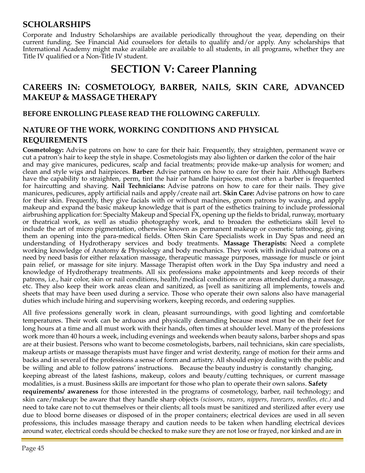## **SCHOLARSHIPS**

Corporate and Industry Scholarships are available periodically throughout the year, depending on their current funding. See Financial Aid counselors for details to qualify and/or apply. Any scholarships that International Academy might make available are available to all students, in all programs, whether they are Title IV qualified or a Non-Title IV student.

# **SECTION V: Career Planning**

## **CAREERS IN: COSMETOLOGY, BARBER, NAILS, SKIN CARE, ADVANCED MAKEUP & MASSAGE THERAPY**

#### **BEFORE ENROLLING PLEASE READ THE FOLLOWING CAREFULLY.**

## **NATURE OF THE WORK, WORKING CONDITIONS AND PHYSICAL REQUIREMENTS**

**Cosmetology:** Advise patrons on how to care for their hair. Frequently, they straighten, permanent wave or cut a patron's hair to keep the style in shape. Cosmetologists may also lighten or darken the color of the hair and may give manicures, pedicures, scalp and facial treatments; provide make-up analysis for women; and clean and style wigs and hairpieces. **Barber:** Advise patrons on how to care for their hair. Although Barbers have the capability to straighten, perm, tint the hair or handle hairpieces, most often a barber is frequented for haircutting and shaving. **Nail Technicians:** Advise patrons on how to care for their nails. They give manicures, pedicures, apply artificial nails and apply/create nail art. **Skin Care:** Advise patrons on how to care for their skin. Frequently, they give facials with or without machines, groom patrons by waxing, and apply makeup and expand the basic makeup knowledge that is part of the esthetics training to include professional airbrushing application for: Specialty Makeup and Special FX, opening up the fields to bridal, runway, mortuary or theatrical work, as well as studio photography work, and to broaden the estheticians skill level to include the art of micro pigmentation, otherwise known as permanent makeup or cosmetic tattooing, giving them an opening into the para-medical fields. Often Skin Care Specialists work in Day Spas and need an understanding of Hydrotherapy services and body treatments. **Massage Therapists:** Need a complete working knowledge of Anatomy & Physiology and body mechanics. They work with individual patrons on a need by need basis for either relaxation massage, therapeutic massage purposes, massage for muscle or joint pain relief, or massage for site injury. Massage Therapist often work in the Day Spa industry and need a knowledge of Hydrotherapy treatments. All six professions make appointments and keep records of their patrons, i.e., hair color, skin or nail conditions, health/medical conditions or areas attended during a massage, etc. They also keep their work areas clean and sanitized, as [well as sanitizing all implements, towels and sheets that may have been used during a service. Those who operate their own salons also have managerial duties which include hiring and supervising workers, keeping records, and ordering supplies.

All five professions generally work in clean, pleasant surroundings, with good lighting and comfortable temperatures. Their work can be arduous and physically demanding because most must be on their feet for long hours at a time and all must work with their hands, often times at shoulder level. Many of the professions work more than 40 hours a week, including evenings and weekends when beauty salons, barber shops and spas are at their busiest. Persons who want to become cosmetologists, barbers, nail technicians, skin care specialists, makeup artists or massage therapists must have finger and wrist dexterity, range of motion for their arms and backs and in several of the professions a sense of form and artistry. All should enjoy dealing with the public and be willing and able to follow patrons' instructions. Because the beauty industry is constantly changing, keeping abreast of the latest fashions, makeup, colors and beauty/cutting techniques, or current massage modalities, is a must. Business skills are important for those who plan to operate their own salons. **Safety requirements/ awareness** for those interested in the programs of cosmetology, barber, nail technology; and skin care/makeup: be aware that they handle sharp objects *(scissors, razors, nippers, tweezers, needles, etc.)* and need to take care not to cut themselves or their clients; all tools must be sanitized and sterilized after every use due to blood borne diseases or disposed of in the proper containers; electrical devices are used in all seven professions, this includes massage therapy and caution needs to be taken when handling electrical devices around water, electrical cords should be checked to make sure they are not lose or frayed, nor kinked and are in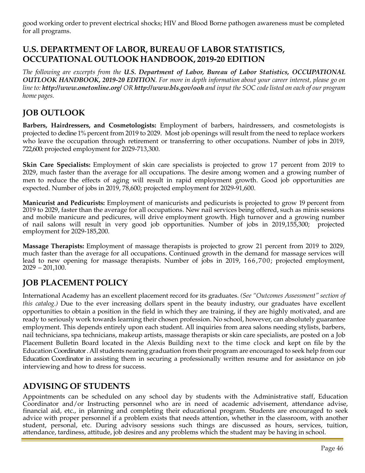good working order to prevent electrical shocks; HIV and Blood Borne pathogen awareness must be completed for all programs.

## **U.S. DEPARTMENT OF LABOR, BUREAU OF LABOR STATISTICS, OCCUPATIONAL OUTLOOK HANDBOOK, 2019-20 EDITION**

*The following are excerpts from the U.S. Department of Labor, Bureau of Labor Statistics, OCCUPATIONAL*  OUTLOOK HANDBOOK, 2019-20 EDITION. For more in depth information about your career interest, please go on line to: <http://www.onetonline.org/> OR <http://www.bls.gov/ooh> and input the SOC code listed on each of our program *home pages.*

## **JOB OUTLOOK**

**Barbers, Hairdressers, and Cosmetologists:** Employment of barbers, hairdressers, and cosmetologists is projected to decline 1% percent from 2019 to 2029. Most job openings will result from the need to replace workers who leave the occupation through retirement or transferring to other occupations. Number of jobs in 2019, 722,600: projected employment for 2029-713,300.

**Skin Care Specialists:** Employment of skin care specialists is projected to grow 17 percent from 2019 to 2029, much faster than the average for all occupations. The desire among women and a growing number of men to reduce the effects of aging will result in rapid employment growth. Good job opportunities are expected. Number of jobs in 2019, 78,600; projected employment for 2029-91,600.

**Manicurist and Pedicurists:** Employment of manicurists and pedicurists is projected to grow 19 percent from 2019 to 2029, faster than the average for all occupations. New nail services being offered, such as minis sessions and mobile manicure and pedicures, will drive employment growth. High turnover and a growing number of nail salons will result in very good job opportunities. Number of jobs in 2019,155,300; projected employment for 2029-185,200.

**Massage Therapists:** Employment of massage therapists is projected to grow 21 percent from 2019 to 2029, much faster than the average for all occupations. Continued growth in the demand for massage services will lead to new opening for massage therapists. Number of jobs in 2019, 166,700; projected employment,  $2029 - 201,100.$ 

## **JOB PLACEMENT POLICY**

International Academy has an excellent placement record for its graduates. *(See "Outcomes Assessment" section of this catalog.)* Due to the ever increasing dollars spent in the beauty industry, our graduates have excellent opportunities to obtain a position in the field in which they are training, if they are highly motivated, and are ready to seriously work towards learning their chosen profession. No school, however, can absolutely guarantee employment. This depends entirely upon each student. All inquiries from area salons needing stylists, barbers, nail technicians, spa technicians, makeup artists, massage therapists or skin care specialists, are posted on a Job Placement Bulletin Board located in the Alexis Building next to the time clock and kept on file by the Education Coordinator .All students nearing graduation from their program are encouraged to seek help from our Education Coordinator in assisting them in securing a professionally written resume and for assistance on job interviewing and how to dress for success.

## **ADVISING OF STUDENTS**

Appointments can be scheduled on any school day by students with the Administrative staff, Education Coordinator and/or Instructing personnel who are in need of academic advisement, attendance advise, financial aid, etc., in planning and completing their educational program. Students are encouraged to seek advice with proper personnel if a problem exists that needs attention, whether in the classroom, with another student, personal, etc. During advisory sessions such things are discussed as hours, services, tuition, attendance, tardiness, attitude, job desires and any problems which the student may be having in school.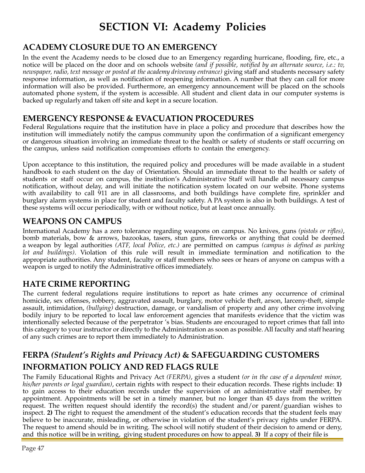# **SECTION VI: Academy Policies**

## **ACADEMY CLOSURE DUE TO AN EMERGENCY**

In the event the Academy needs to be closed due to an Emergency regarding hurricane, flooding, fire, etc., a notice will be placed on the door and on schools website *(and if possible, notified by an alternate source, i.e.: tv, newspaper, radio, text message or posted at the academy driveway entrance)* giving staff and students necessary safety response information, as well as notification of reopening information. A number that they can call for more information will also be provided. Furthermore, an emergency announcement will be placed on the schools automated phone system, if the system is accessible. All student and client data in our computer systems is backed up regularly and taken off site and kept in a secure location.

## **EMERGENCY RESPONSE & EVACUATION PROCEDURES**

Federal Regulations require that the institution have in place a policy and procedure that describes how the institution will immediately notify the campus community upon the confirmation of a significant emergency or dangerous situation involving an immediate threat to the health or safety of students or staff occurring on the campus, unless said notification compromises efforts to contain the emergency.

Upon acceptance to this institution, the required policy and procedures will be made available in a student handbook to each student on the day of Orientation. Should an immediate threat to the health or safety of students or staff occur on campus, the institution's Administrative Staff will handle all necessary campus notification, without delay, and will initiate the notification system located on our website. Phone systems with availability to call 911 are in all classrooms, and both buildings have complete fire, sprinkler and burglary alarm systems in place for student and faculty safety. A PA system is also in both buildings. A test of these systems will occur periodically, with or without notice, but at least once annually.

## **WEAPONS ON CAMPUS**

International Academy has a zero tolerance regarding weapons on campus. No knives, guns *(pistols or rifles)*, bomb materials, bow & arrows, bazookas, tasers, stun guns, fireworks or anything that could be deemed a weapon by legal authorities *(ATF, local Police, etc.)* are permitted on campus *(campus is defined as parking lot and buildings)*. Violation of this rule will result in immediate termination and notification to the appropriate authorities. Any student, faculty or staff members who sees or hears of anyone on campus with a weapon is urged to notify the Administrative offices immediately.

## **HATE CRIME REPORTING**

The current federal regulations require institutions to report as hate crimes any occurrence of criminal homicide, sex offenses, robbery, aggravated assault, burglary, motor vehicle theft, arson, larceny-theft, simple assault, intimidation, *(bullying)* destruction, damage, or vandalism of property and any other crime involving bodily injury to be reported to local law enforcement agencies that manifests evidence that the victim was intentionally selected because of the perpetrator 's bias. Students are encouraged to report crimes that fall into this category to your instructor or directly to the Administration as soon as possible. All faculty and staff hearing of any such crimes are to report them immediately to Administration.

## **FERPA** *(Student's Rights and Privacy Act)* **& SAFEGUARDING CUSTOMERS INFORMATION POLICY AND RED FLAGS RULE**

The Family Educational Rights and Privacy Act *(FERPA)*, gives a student *(or in the case of a dependent minor, his/her parents or legal guardian)*, certain rights with respect to their education records. These rights include: **1)** to gain access to their education records under the supervision of an administrative staff member, by appointment. Appointments will be set in a timely manner, but no longer than 45 days from the written request. The written request should identify the record(s) the student and/or parent/guardian wishes to inspect. **2)** The right to request the amendment of the student's education records that the student feels may believe to be inaccurate, misleading, or otherwise in violation of the student's privacy rights under FERPA. The request to amend should be in writing. The school will notify student of their decision to amend or deny, and this notice will be in writing, giving student procedures on how to appeal. **3)** If a copy of their file is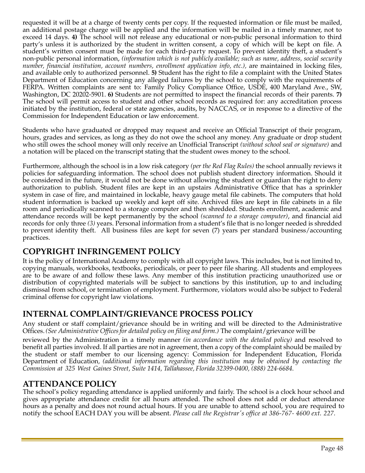requested it will be at a charge of twenty cents per copy. If the requested information or file must be mailed, an additional postage charge will be applied and the information will be mailed in a timely manner, not to exceed 14 days. **4)** The school will not release any educational or non-public personal information to third party's unless it is authorized by the student in written consent, a copy of which will be kept on file. A student's written consent must be made for each third-party request. To prevent identity theft, a student's non-public personal information, *(information which is not publicly available; such as name, address, social security number, financial institution, account numbers, enrollment application info, etc.),* are maintained in locking files, and available only to authorized personnel. **5)** Student has the right to file a complaint with the United States Department of Education concerning any alleged failures by the school to comply with the requirements of FERPA. Written complaints are sent to: Family Policy Compliance Office, USDE, 400 Maryland Ave., SW, Washington, DC 20202-5901. **6)** Students are not permitted to inspect the financial records of their parents. **7)** The school will permit access to student and other school records as required for: any accreditation process initiated by the institution, federal or state agencies, audits, by NACCAS, or in response to a directive of the Commission for Independent Education or law enforcement.

Students who have graduated or dropped may request and receive an Official Transcript of their program, hours, grades and services, as long as they do not owe the school any money. Any graduate or drop student who still owes the school money will only receive an Unofficial Transcript *(without school seal or signature)* and a notation will be placed on the transcript stating that the student owes money to the school.

Furthermore, although the school is in a low risk category *(per the Red Flag Rules)* the school annually reviews it policies for safeguarding information. The school does not publish student directory information. Should it be considered in the future, it would not be done without allowing the student or guardian the right to deny authorization to publish. Student files are kept in an upstairs Administrative Office that has a sprinkler system in case of fire, and maintained in lockable, heavy gauge metal file cabinets. The computers that hold student information is backed up weekly and kept off site. Archived files are kept in file cabinets in a file room and periodically scanned to a storage computer and then shredded. Students enrollment, academic and attendance records will be kept permanently by the school *(scanned to a storage computer)*, and financial aid records for only three *(3)* years. Personal information from a student's file that is no longer needed is shredded to prevent identity theft. All business files are kept for seven (7) years per standard business/accounting practices.

## **COPYRIGHT INFRINGEMENT POLICY**

It is the policy of International Academy to comply with all copyright laws. This includes, but is not limited to, copying manuals, workbooks, textbooks, periodicals, or peer to peer file sharing. All students and employees are to be aware of and follow these laws. Any member of this institution practicing unauthorized use or distribution of copyrighted materials will be subject to sanctions by this institution, up to and including dismissal from school, or termination of employment. Furthermore, violators would also be subject to Federal criminal offense for copyright law violations.

## **INTERNAL COMPLAINT/GRIEVANCE PROCESS POLICY**

Any student or staff complaint/grievance should be in writing and will be directed to the Administrative Offices.*(See Administrative Officesfor detailed policy on filing and form.)* The complaint/grievance will be

reviewed by the Administration in a timely manner *(in accordance with the detailed policy)* and resolved to benefit all parties involved. If all parties are not in agreement, then a copy of the complaint should be mailed by the student or staff member to our licensing agency: Commission for Independent Education, Florida Department of Education*, (additional information regarding this institution may be obtained by contacting the Commission at 325 West Gaines Street, Suite 1414, Tallahassee, Florida 32399-0400, (888) 224-6684.*

## **ATTENDANCE POLICY**

The school's policy regarding attendance is applied uniformly and fairly. The school is a clock hour school and gives appropriate attendance credit for all hours attended. The school does not add or deduct attendance hours as a penalty and does not round actual hours. If you are unable to attend school, you are required to notify the school EACH DAY you will be absent. *Please call the Registrar's office at 386-767- 4600 ext. 227.*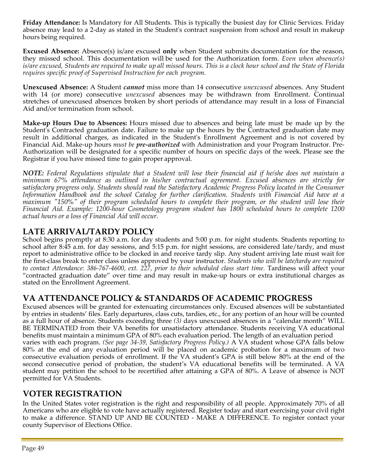**Friday Attendance:** Is Mandatory for All Students. This is typically the busiest day for Clinic Services. Friday absence may lead to a 2-day as stated in the Student's contract suspension from school and result in makeup hours being required.

**Excused Absence:** Absence(s) is/are excused **only** when Student submits documentation for the reason, they missed school. This documentation will be used for the Authorization form. *Even when absence(s) is/are excused, Students are required to make up all missed hours. This is a clock hour school and the State of Florida requires specific proof of Supervised Instruction for each program.*

**Unexcused Absence:** A Student *cannot* miss more than 14 consecutive *unexcused* absences. Any Student with 14 (or more) consecutive *unexcused* absences may be withdrawn from Enrollment. Continual stretches of unexcused absences broken by short periods of attendance may result in a loss of Financial Aid and/or termination from school.

**Make-up Hours Due to Absences:** Hours missed due to absences and being late must be made up by the Student's Contracted graduation date. Failure to make up the hours by the Contracted graduation date may result in additional charges, as indicated in the Student's Enrollment Agreement and is not covered by Financial Aid. Make-up hours *must be pre-authorized* with Administration and your Program Instructor. Pre-Authorization will be designated for a specific number of hours on specific days of the week. Please see the Registrar if you have missed time to gain proper approval.

*NOTE: Federal Regulations stipulate that a Student will lose their financial aid if he/she does not maintain a minimum 67% attendance as outlined in his/her contractual agreement. Excused absences are strictly for satisfactory progress only. Students should read the Satisfactory Academic Progress Policy located in the Consumer Information Handbook and the school Catalog for further clarification. Students with Financial Aid have at a maximum "150%" of their program scheduled hours to complete their program, or the student will lose their Financial Aid. Example: 1200-hour Cosmetology program student has 1800 scheduled hours to complete 1200 actual hours or a loss of Financial Aid will occur.*

## **LATE ARRIVAL/TARDY POLICY**

School begins promptly at 8:30 a.m. for day students and 5:00 p.m. for night students. Students reporting to school after 8:45 a.m. for day sessions, and 5:15 p.m. for night sessions, are considered late/tardy, and must report to administrative office to be clocked in and receive tardy slip. Any student arriving late must wait for the first-class break to enter class unless approved by your instructor. *Students who will be late/tardy are required to contact Attendance: 386-767-4600, ext. 227, prior to their scheduled class start time.* Tardiness will affect your "contracted graduation date" over time and may result in make-up hours or extra institutional charges as stated on the Enrollment Agreement.

## **VA ATTENDANCE POLICY & STANDARDS OF ACADEMIC PROGRESS**

Excused absences will be granted for extenuating circumstances only. Excused absences will be substantiated by entries in students' files. Early departures, class cuts, tardies, etc., for any portion of an hour will be counted as a full hour of absence. Students exceeding three *(3)* days unexcused absences in a "calendar month" WILL BE TERMINATED from their VA benefits for unsatisfactory attendance. Students receiving VA educational benefits must maintain a minimum GPA of 80% each evaluation period. The length of an evaluation period varies with each program. *(See page 34-39, Satisfactory Progress Policy.)* A VA student whose GPA falls below 80% at the end of any evaluation period will be placed on academic probation for a maximum of two consecutive evaluation periods of enrollment. If the VA student's GPA is still below 80% at the end of the second consecutive period of probation, the student's VA educational benefits will be terminated. A VA student may petition the school to be recertified after attaining a GPA of 80%. A Leave of absence is NOT permitted for VA Students.

## **VOTER REGISTRATION**

In the United States voter registration is the right and responsibility of all people. Approximately 70% of all Americans who are eligible to vote have actually registered. Register today and start exercising your civil right to make a difference. STAND UP AND BE COUNTED - MAKE A DIFFERENCE. To register contact your county Supervisor of Elections Office.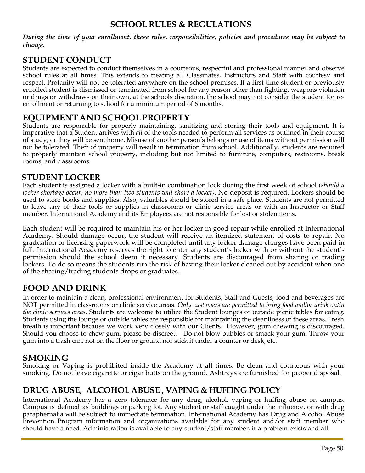#### **SCHOOL RULES & REGULATIONS**

*During the time of your enrollment, these rules, responsibilities, policies and procedures may be subject to change.*

## **STUDENT CONDUCT**

Students are expected to conduct themselves in a courteous, respectful and professional manner and observe school rules at all times. This extends to treating all Classmates, Instructors and Staff with courtesy and respect. Profanity will not be tolerated anywhere on the school premises. If a first time student or previously enrolled student is dismissed or terminated from school for any reason other than fighting, weapons violation or drugs or withdraws on their own, at the schools discretion, the school may not consider the student for reenrollment or returning to school for a minimum period of 6 months.

#### **EQUIPMENT AND SCHOOLPROPERTY**

Students are responsible for properly maintaining, sanitizing and storing their tools and equipment. It is imperative that a Student arrives with *all* of the tools needed to perform all services as outlined in their course of study, or they will be sent home. Misuse of another person's belongs or use of items without permission will not be tolerated. Theft of property will result in termination from school. Additionally, students are required to properly maintain school property, including but not limited to furniture, computers, restrooms, break rooms, and classrooms.

#### **STUDENT LOCKER**

Each student is assigned a locker with a built-in combination lock during the first week of school *(should a locker shortage occur, no more than two students will share a locker).* No deposit is required. Lockers should be used to store books and supplies. Also, valuables should be stored in a safe place. Students are not permitted to leave any of their tools or supplies in classrooms or clinic service areas or with an Instructor or Staff member. International Academy and its Employees are not responsible for lost or stolen items.

Each student will be required to maintain his or her locker in good repair while enrolled at International Academy. Should damage occur, the student will receive an itemized statement of costs to repair. No graduation or licensing paperwork will be completed until any locker damage charges have been paid in full. International Academy reserves the right to enter any student's locker with or without the student's permission should the school deem it necessary. Students are discouraged from sharing or trading lockers. To do so means the students run the risk of having their locker cleaned out by accident when one of the sharing/trading students drops or graduates.

## **FOOD AND DRINK**

In order to maintain a clean, professional environment for Students, Staff and Guests, food and beverages are NOT permitted in classrooms or clinic service areas. *Only customers are permitted to bring food and/or drink on/in the clinic services areas.* Students are welcome to utilize the Student lounges or outside picnic tables for eating. Students using the lounge or outside tables are responsible for maintaining the cleanliness of these areas. Fresh breath is important because we work very closely with our Clients. However, gum chewing is discouraged. Should you choose to chew gum, please be discreet. Do not blow bubbles or smack your gum. Throw your gum into a trash can, not on the floor or ground nor stick it under a counter or desk, etc.

## **SMOKING**

Smoking or Vaping is prohibited inside the Academy at all times. Be clean and courteous with your smoking. Do not leave cigarette or cigar butts on the ground. Ashtrays are furnished for proper disposal.

## **DRUG ABUSE, ALCOHOL ABUSE , VAPING & HUFFING POLICY**

International Academy has a zero tolerance for any drug, alcohol, vaping or huffing abuse on campus. Campus is defined as buildings or parking lot. Any student or staff caught under the influence, or with drug paraphernalia will be subject to immediate termination. International Academy has Drug and Alcohol Abuse Prevention Program information and organizations available for any student and/or staff member who should have a need. Administration is available to any student/staff member, if a problem exists and all